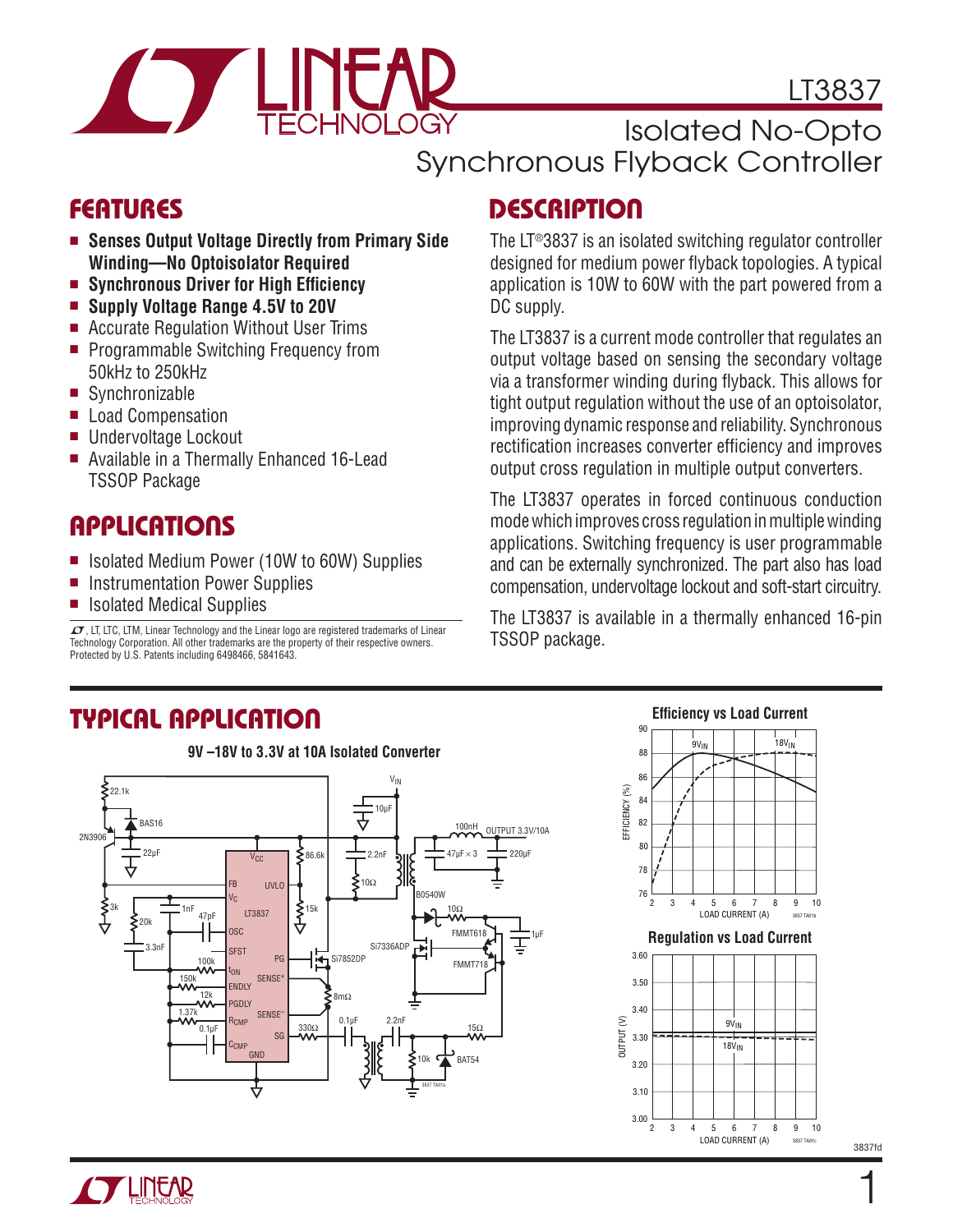

LT3837

### Isolated No-Opto Synchronous Flyback Controller

## FEATURES

- <sup>n</sup> **Senses Output Voltage Directly from Primary Side Winding—No Optoisolator Required**
- Synchronous Driver for High Efficiency
- Supply Voltage Range 4.5V to 20V
- Accurate Regulation Without User Trims
- **Programmable Switching Frequency from** 50kHz to 250kHz
- $\blacksquare$  Synchronizable
- **Load Compensation**
- Undervoltage Lockout
- Available in a Thermally Enhanced 16-Lead TSSOP Package

### **APPLICATIONS**

- Isolated Medium Power (10W to 60W) Supplies
- **n** Instrumentation Power Supplies
- Isolated Medical Supplies

 $I$ , LT, LTC, LTM, Linear Technology and the Linear logo are registered trademarks of Linear Technology Corporation. All other trademarks are the property of their respective owners. Protected by U.S. Patents including 6498466, 5841643.

# **DESCRIPTION**

The LT®3837 is an isolated switching regulator controller designed for medium power flyback topologies. A typical application is 10W to 60W with the part powered from a DC supply.

The LT3837 is a current mode controller that regulates an output voltage based on sensing the secondary voltage via a transformer winding during flyback. This allows for tight output regulation without the use of an optoisolator, improving dynamic response and reliability. Synchronous rectification increases converter efficiency and improves output cross regulation in multiple output converters.

The LT3837 operates in forced continuous conduction mode which improves cross regulation in multiple winding applications. Switching frequency is user programmable and can be externally synchronized. The part also has load compensation, undervoltage lockout and soft-start circuitry.

The LT3837 is available in a thermally enhanced 16-pin TSSOP package.

# TYPICAL APPLICATION



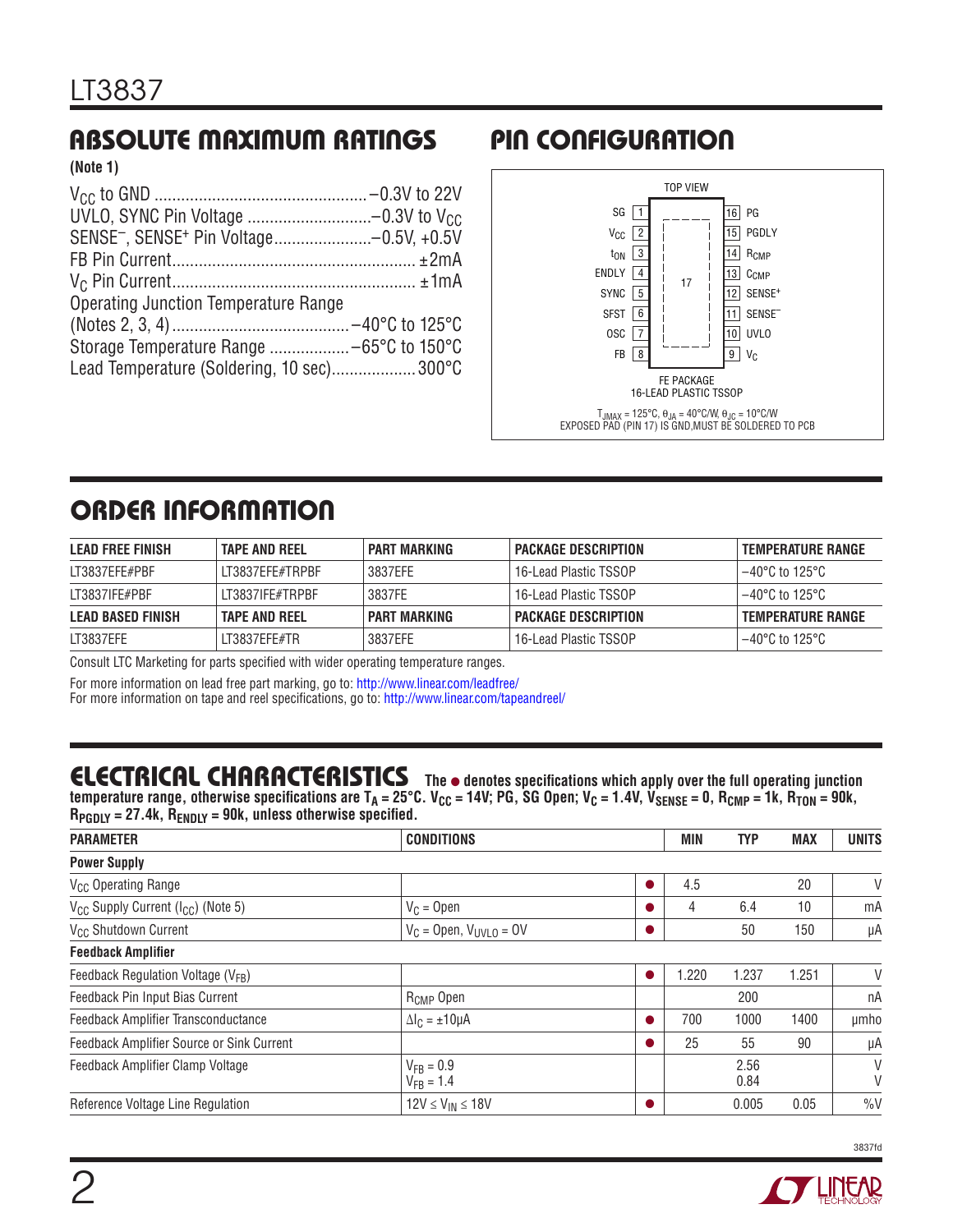# ABSOLUTE MAXIMUM RATINGS

**(Note 1)**

| SENSE <sup>-</sup> , SENSE <sup>+</sup> Pin Voltage-0.5V, +0.5V |  |
|-----------------------------------------------------------------|--|
|                                                                 |  |
|                                                                 |  |
| <b>Operating Junction Temperature Range</b>                     |  |
|                                                                 |  |
|                                                                 |  |
| Lead Temperature (Soldering, 10 sec) 300°C                      |  |

### PIN CONFIGURATION



# ORDER INFORMATION

| <b>LEAD FREE FINISH</b>  | <b>TAPE AND REEL</b> | PART MARKING        | <b>PACKAGE DESCRIPTION</b> | TEMPERATURE RANGE        |
|--------------------------|----------------------|---------------------|----------------------------|--------------------------|
| LT3837EFE#PBF            | LT3837EFE#TRPBF      | 3837FFF             | 16-Lead Plastic TSSOP      | $-40^{\circ}$ C to 125°C |
| LT3837IFE#PBF            | IT3837IFF#TRPRF      | 3837FE              | 16-Lead Plastic TSSOP      | l –40°C to 125°C.        |
| <b>LEAD BASED FINISH</b> | <b>TAPE AND REEL</b> | <b>PART MARKING</b> | <b>PACKAGE DESCRIPTION</b> | <b>TEMPERATURE RANGE</b> |
| LT3837EFE                | IT3837FFF#TR         | 3837FFF             | 16-Lead Plastic TSSOP      | $-40^{\circ}$ C to 125°C |

Consult LTC Marketing for parts specified with wider operating temperature ranges.

For more information on lead free part marking, go to: http://www.linear.com/leadfree/

For more information on tape and reel specifications, go to: http://www.linear.com/tapeandreel/

### **ELECTRICAL CHARACTERISTICS** The  $\bullet$  denotes specifications which apply over the full operating junction

temperature range, otherwise specifications are T<sub>A</sub> = 25°C. V<sub>CC</sub> = 14V; PG, SG Open; V<sub>C</sub> = 1.4V, V<sub>SENSE</sub> = 0, R<sub>CMP</sub> = 1k, R<sub>TON</sub> = 90k,  $R_{\text{PGDLY}} = 27.4$ k,  $R_{\text{ENDIY}} = 90$ k, unless otherwise specified.

| <b>PARAMETER</b>                                           | <b>CONDITIONS</b>                |  | MIN   | TYP          | <b>MAX</b> | <b>UNITS</b> |  |
|------------------------------------------------------------|----------------------------------|--|-------|--------------|------------|--------------|--|
| <b>Power Supply</b>                                        |                                  |  |       |              |            |              |  |
| V <sub>CC</sub> Operating Range                            |                                  |  | 4.5   |              | 20         | V            |  |
| V <sub>CC</sub> Supply Current (I <sub>CC</sub> ) (Note 5) | $V_C = Open$                     |  | 4     | 6.4          | 10         | mA           |  |
| V <sub>CC</sub> Shutdown Current                           | $V_C =$ Open, $V_{UVLO} = 0V$    |  |       | 50           | 150        | μA           |  |
| <b>Feedback Amplifier</b>                                  |                                  |  |       |              |            |              |  |
| Feedback Regulation Voltage (V <sub>FB</sub> )             |                                  |  | 1.220 | 1.237        | .251       | V            |  |
| Feedback Pin Input Bias Current                            | R <sub>CMP</sub> Open            |  |       | 200          |            | nA           |  |
| Feedback Amplifier Transconductance                        | $\Delta I_C = \pm 10 \mu A$      |  | 700   | 1000         | 1400       | umho         |  |
| Feedback Amplifier Source or Sink Current                  |                                  |  | 25    | 55           | 90         | μA           |  |
| Feedback Amplifier Clamp Voltage                           | $V_{FB} = 0.9$<br>$V_{FB} = 1.4$ |  |       | 2.56<br>0.84 |            | V<br>V       |  |
| Reference Voltage Line Regulation                          | $12V \leq V_{IN} \leq 18V$       |  |       | 0.005        | 0.05       | $\%V$        |  |

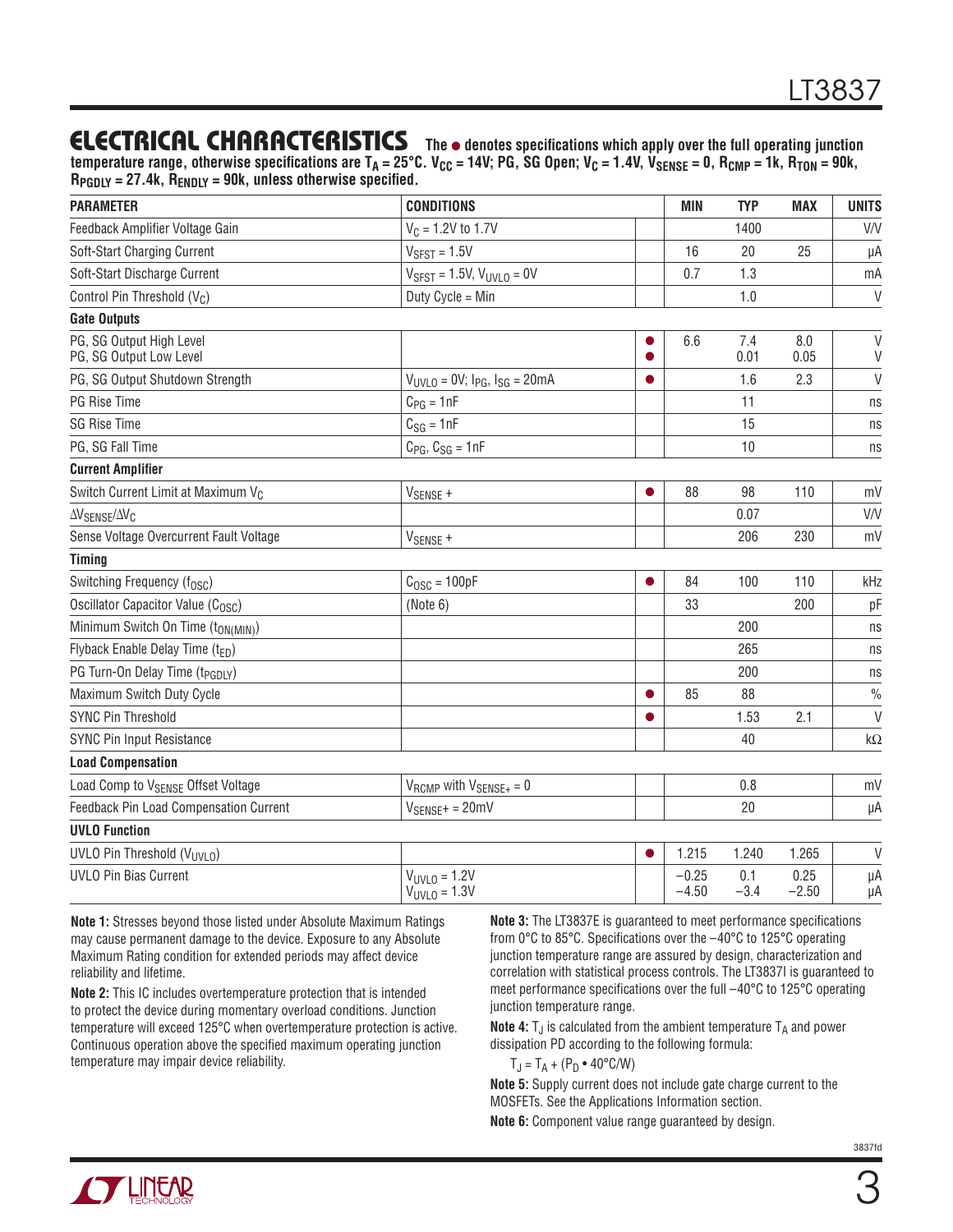### **ELECTRICAL CHARACTERISTICS** The  $\bullet$  denotes specifications which apply over the full operating junction

temperature range, otherwise specifications are  $T_A = 25^{\circ}C$ . V<sub>CC</sub> = 14V; PG, SG Open; V<sub>C</sub> = 1.4V, V<sub>SENSE</sub> = 0, R<sub>CMP</sub> = 1k, R<sub>TON</sub> = 90k, **RPGDLY = 27.4k, RENDLY = 90k, unless otherwise specified.**

| <b>PARAMETER</b>                                    | <b>CONDITIONS</b>                            |           | <b>MIN</b>         | <b>TYP</b>    | <b>MAX</b>      | <b>UNITS</b>  |
|-----------------------------------------------------|----------------------------------------------|-----------|--------------------|---------------|-----------------|---------------|
| Feedback Amplifier Voltage Gain                     | $V_C = 1.2V$ to 1.7V                         |           |                    | 1400          |                 | V/V           |
| Soft-Start Charging Current                         | $VSFST = 1.5V$                               |           | 16                 | 20            | 25              | μA            |
| Soft-Start Discharge Current                        | $V_{SFST}$ = 1.5V, $V_{UVLO}$ = 0V           |           | 0.7                | 1.3           |                 | mA            |
| Control Pin Threshold (V <sub>C</sub> )             | Duty Cycle = Min                             |           |                    | 1.0           |                 | $\vee$        |
| <b>Gate Outputs</b>                                 |                                              |           |                    |               |                 |               |
| PG, SG Output High Level<br>PG, SG Output Low Level |                                              |           | 6.6                | 7.4<br>0.01   | 8.0<br>0.05     | $\vee$<br>V   |
| PG, SG Output Shutdown Strength                     | $V_{UVLO} = 0V$ ; $I_{PG}$ , $I_{SG} = 20mA$ |           |                    | 1.6           | 2.3             | $\vee$        |
| PG Rise Time                                        | $C_{PG} = 1nF$                               |           |                    | 11            |                 | ns            |
| <b>SG Rise Time</b>                                 | $C_{SG} = 1nF$                               |           |                    | 15            |                 | ns            |
| PG, SG Fall Time                                    | $C_{PG}$ , $C_{SG} = 1nF$                    |           |                    | 10            |                 | ns            |
| <b>Current Amplifier</b>                            |                                              |           |                    |               |                 |               |
| Switch Current Limit at Maximum V <sub>C</sub>      | V <sub>SENSE</sub> +                         |           | 88                 | 98            | 110             | mV            |
| $\Delta V_{\text{SENSE}}/\Delta V_{\text{C}}$       |                                              |           |                    | 0.07          |                 | V/V           |
| Sense Voltage Overcurrent Fault Voltage             | V <sub>SENSE</sub> +                         |           |                    | 206           | 230             | mV            |
| <b>Timing</b>                                       |                                              |           |                    |               |                 |               |
| Switching Frequency (f <sub>OSC</sub> )             | $COSC = 100pF$                               | ●         | 84                 | 100           | 110             | kHz           |
| Oscillator Capacitor Value (C <sub>OSC</sub> )      | (Note 6)                                     |           | 33                 |               | 200             | pF            |
| Minimum Switch On Time (t <sub>ON(MIN)</sub> )      |                                              |           |                    | 200           |                 | ns            |
| Flyback Enable Delay Time $(t_{FD})$                |                                              |           |                    | 265           |                 | ns            |
| PG Turn-On Delay Time (t <sub>PGDLY</sub> )         |                                              |           |                    | 200           |                 | ns            |
| Maximum Switch Duty Cycle                           |                                              |           | 85                 | 88            |                 | $\frac{0}{0}$ |
| <b>SYNC Pin Threshold</b>                           |                                              |           |                    | 1.53          | 2.1             | $\vee$        |
| <b>SYNC Pin Input Resistance</b>                    |                                              |           |                    | 40            |                 | $k\Omega$     |
| <b>Load Compensation</b>                            |                                              |           |                    |               |                 |               |
| Load Comp to V <sub>SENSE</sub> Offset Voltage      | $V_{RCMP}$ with $V_{SENSE+} = 0$             |           |                    | 0.8           |                 | mV            |
| <b>Feedback Pin Load Compensation Current</b>       | $V_{SENSE^+} = 20mV$                         |           |                    | 20            |                 | μA            |
| <b>UVLO Function</b>                                |                                              |           |                    |               |                 |               |
| UVLO Pin Threshold (VUVLO)                          |                                              | $\bullet$ | 1.215              | 1.240         | 1.265           | V             |
| <b>UVLO Pin Bias Current</b>                        | $V_{UVLO} = 1.2V$<br>$V_{UVLO} = 1.3V$       |           | $-0.25$<br>$-4.50$ | 0.1<br>$-3.4$ | 0.25<br>$-2.50$ | μA<br>μA      |

**Note 1:** Stresses beyond those listed under Absolute Maximum Ratings may cause permanent damage to the device. Exposure to any Absolute Maximum Rating condition for extended periods may affect device reliability and lifetime.

**Note 2:** This IC includes overtemperature protection that is intended to protect the device during momentary overload conditions. Junction temperature will exceed 125°C when overtemperature protection is active. Continuous operation above the specified maximum operating junction temperature may impair device reliability.

**Note 3:** The LT3837E is guaranteed to meet performance specifications from 0°C to 85°C. Specifications over the –40°C to 125°C operating junction temperature range are assured by design, characterization and correlation with statistical process controls. The LT3837I is guaranteed to meet performance specifications over the full –40°C to 125°C operating junction temperature range.

**Note 4:**  $T_A$  is calculated from the ambient temperature  $T_A$  and power dissipation PD according to the following formula:

 $T_J = T_A + (P_D \cdot 40^{\circ} \text{C/W})$ 

**Note 5:** Supply current does not include gate charge current to the MOSFETs. See the Applications Information section.

**Note 6:** Component value range guaranteed by design.

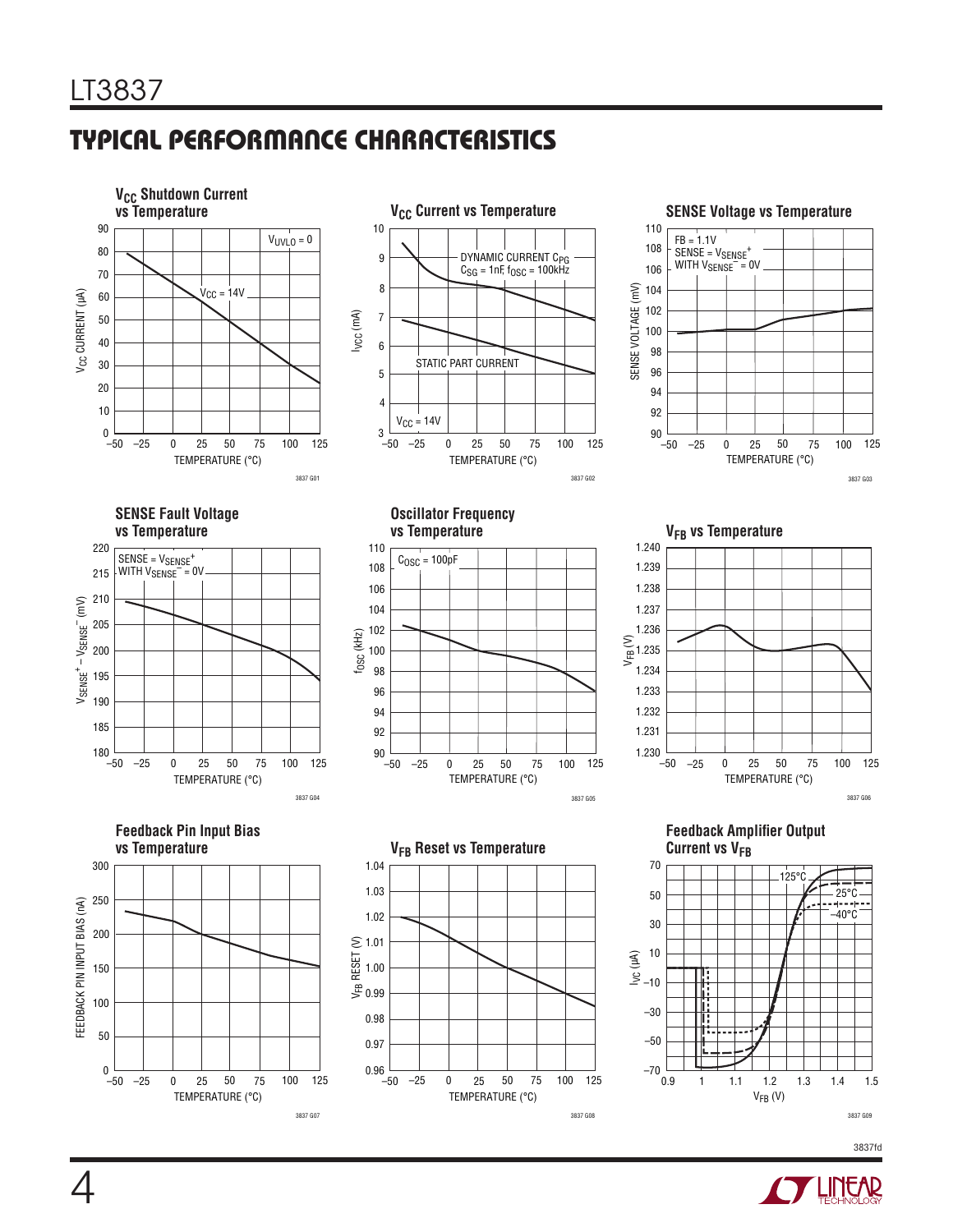# TYPICAL PERFORMANCE CHARACTERISTICS



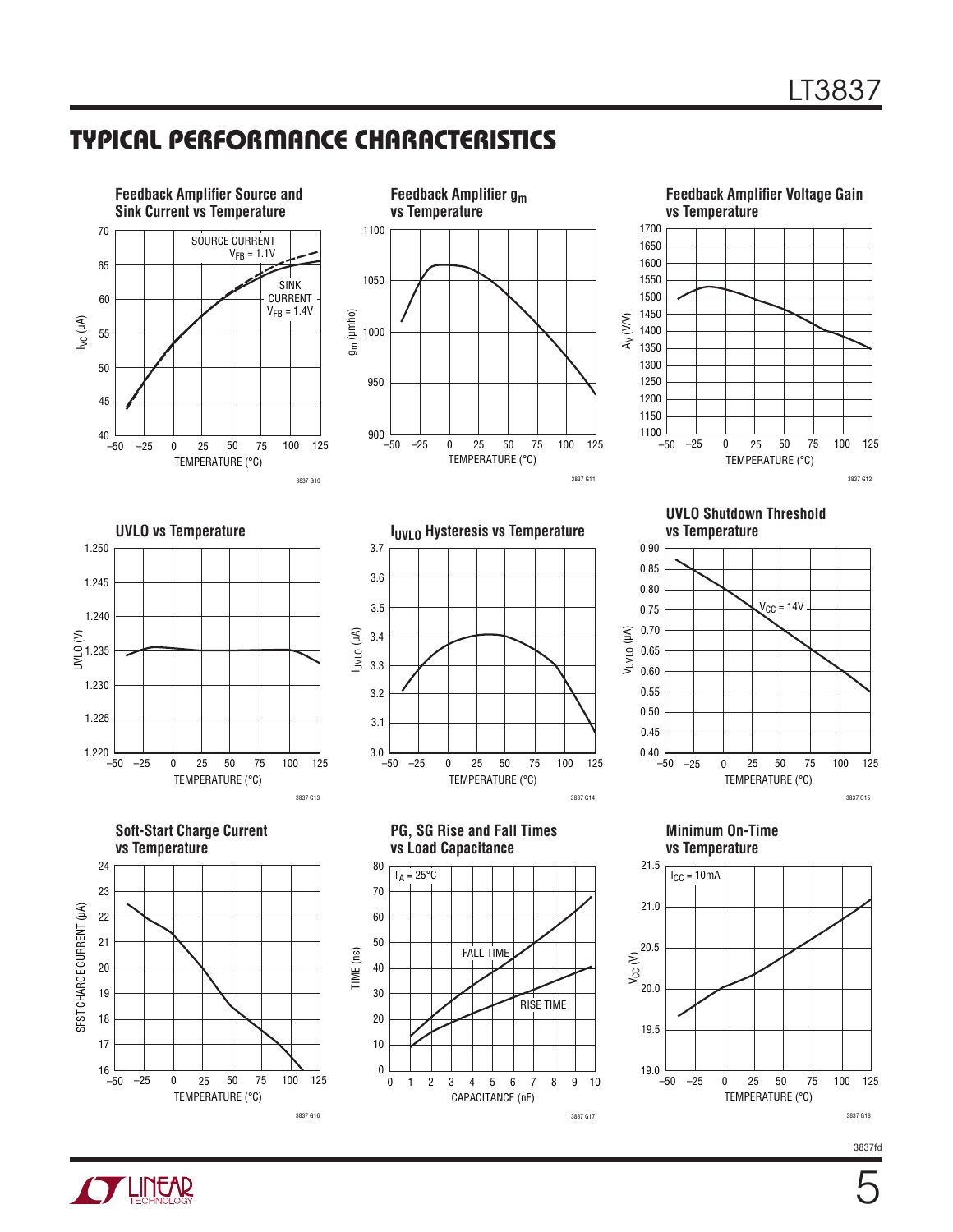### TYPICAL PERFORMANCE CHARACTERISTICS





5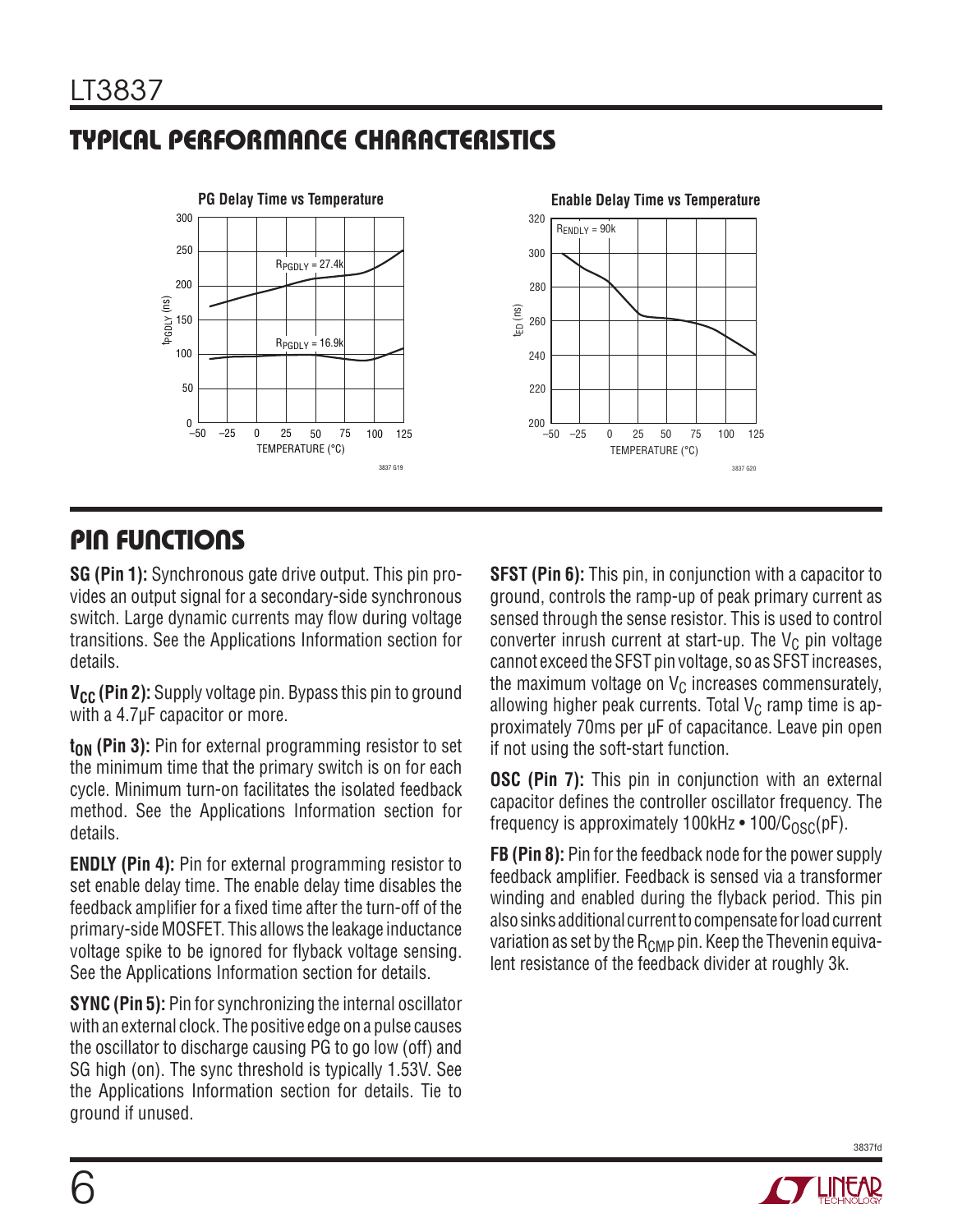# TYPICAL PERFORMANCE CHARACTERISTICS



### PIN FUNCTIONS

**SG (Pin 1):** Synchronous gate drive output. This pin provides an output signal for a secondary-side synchronous switch. Large dynamic currents may flow during voltage transitions. See the Applications Information section for details.

**V<sub>CC</sub>** (Pin 2): Supply voltage pin. Bypass this pin to ground with a 4.7µF capacitor or more.

**t<sub>ON</sub>** (Pin 3): Pin for external programming resistor to set the minimum time that the primary switch is on for each cycle. Minimum turn-on facilitates the isolated feedback method. See the Applications Information section for details.

**ENDLY (Pin 4):** Pin for external programming resistor to set enable delay time. The enable delay time disables the feedback amplifier for a fixed time after the turn-off of the primary-side MOSFET. This allows the leakage inductance voltage spike to be ignored for flyback voltage sensing. See the Applications Information section for details.

**SYNC (Pin 5):** Pin for synchronizing the internal oscillator with an external clock. The positive edge on a pulse causes the oscillator to discharge causing PG to go low (off) and SG high (on). The sync threshold is typically 1.53V. See the Applications Information section for details. Tie to ground if unused.

**SFST (Pin 6):** This pin, in conjunction with a capacitor to ground, controls the ramp-up of peak primary current as sensed through the sense resistor. This is used to control converter inrush current at start-up. The  $V_C$  pin voltage cannot exceed the SFST pin voltage, so as SFST increases, the maximum voltage on  $V_C$  increases commensurately, allowing higher peak currents. Total  $V_C$  ramp time is approximately 70ms per µF of capacitance. Leave pin open if not using the soft-start function.

**OSC (Pin 7):** This pin in conjunction with an external capacitor defines the controller oscillator frequency. The frequency is approximately 100kHz  $\cdot$  100/C<sub>OSC</sub>(pF).

**FB (Pin 8):** Pin for the feedback node for the power supply feedback amplifier. Feedback is sensed via a transformer winding and enabled during the flyback period. This pin also sinks additional current to compensate for load current variation as set by the  $R_{\text{CMP}}$  pin. Keep the Thevenin equivalent resistance of the feedback divider at roughly 3k.

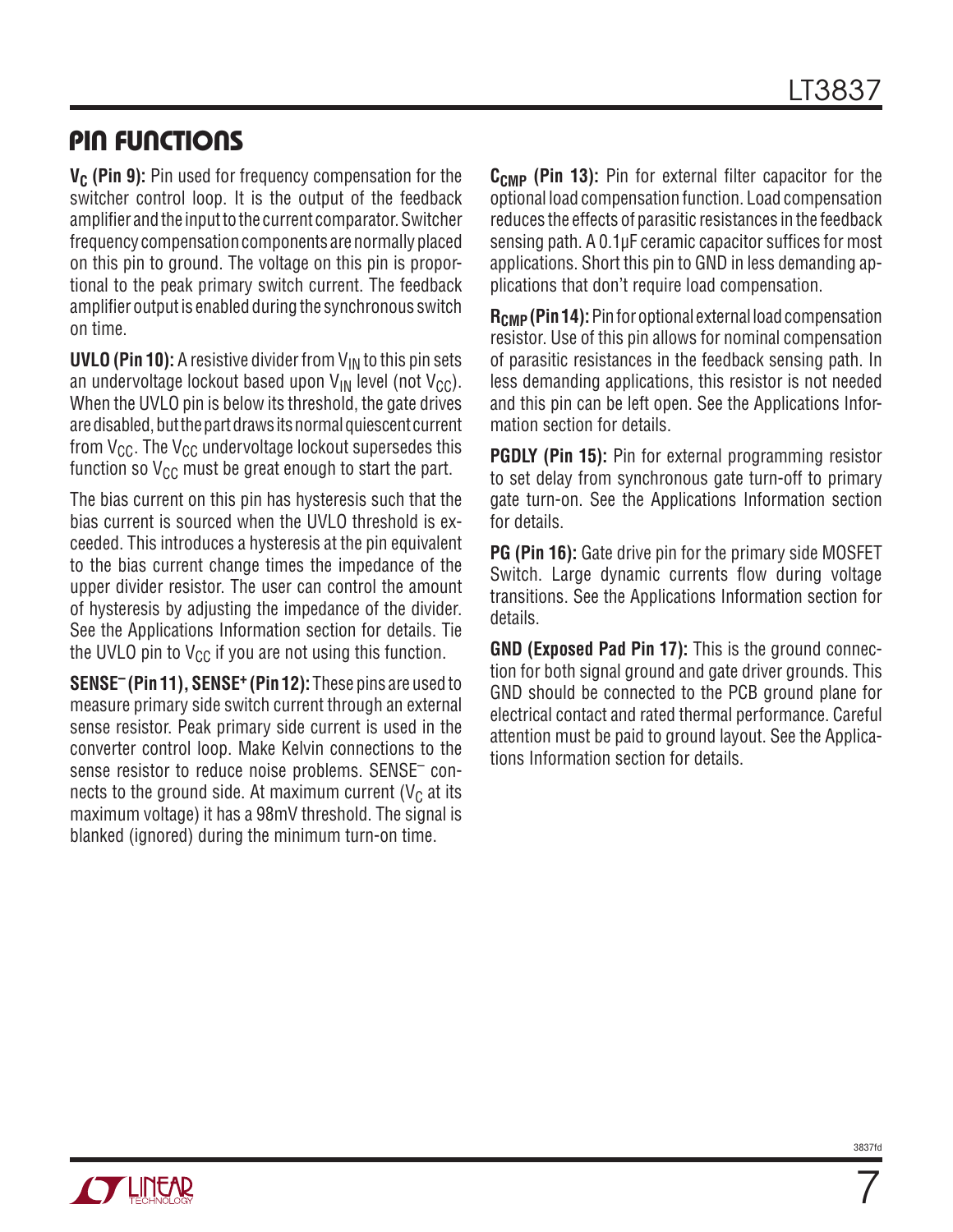### PIN FUNCTIONS

**V<sub>C</sub>** (Pin 9): Pin used for frequency compensation for the switcher control loop. It is the output of the feedback amplifier and the input to the current comparator. Switcher frequency compensation components are normally placed on this pin to ground. The voltage on this pin is proportional to the peak primary switch current. The feedback amplifier output is enabled during the synchronous switch on time.

**UVLO (Pin 10):** A resistive divider from  $V_{IN}$  to this pin sets an undervoltage lockout based upon  $V_{IN}$  level (not  $V_{CC}$ ). When the UVLO pin is below its threshold, the gate drives are disabled, but the part draws its normal quiescent current from  $V_{CC}$ . The  $V_{CC}$  undervoltage lockout supersedes this function so  $V_{CC}$  must be great enough to start the part.

The bias current on this pin has hysteresis such that the bias current is sourced when the UVLO threshold is exceeded. This introduces a hysteresis at the pin equivalent to the bias current change times the impedance of the upper divider resistor. The user can control the amount of hysteresis by adjusting the impedance of the divider. See the Applications Information section for details. Tie the UVLO pin to  $V_{CC}$  if you are not using this function.

**SENSE– (Pin 11), SENSE+ (Pin 12):** These pins are used to measure primary side switch current through an external sense resistor. Peak primary side current is used in the converter control loop. Make Kelvin connections to the sense resistor to reduce noise problems. SENSE– connects to the ground side. At maximum current ( $V_c$  at its maximum voltage) it has a 98mV threshold. The signal is blanked (ignored) during the minimum turn-on time.

C<sub>CMP</sub> (Pin 13): Pin for external filter capacitor for the optional load compensation function. Load compensation reduces the effects of parasitic resistances in the feedback sensing path. A 0.1µF ceramic capacitor suffices for most applications. Short this pin to GND in less demanding applications that don't require load compensation.

**R<sub>CMP</sub>** (Pin 14): Pin for optional external load compensation resistor. Use of this pin allows for nominal compensation of parasitic resistances in the feedback sensing path. In less demanding applications, this resistor is not needed and this pin can be left open. See the Applications Information section for details.

**PGDLY (Pin 15):** Pin for external programming resistor to set delay from synchronous gate turn-off to primary gate turn-on. See the Applications Information section for details.

**PG (Pin 16):** Gate drive pin for the primary side MOSFET Switch. Large dynamic currents flow during voltage transitions. See the Applications Information section for details.

**GND (Exposed Pad Pin 17):** This is the ground connection for both signal ground and gate driver grounds. This GND should be connected to the PCB ground plane for electrical contact and rated thermal performance. Careful attention must be paid to ground layout. See the Applications Information section for details.



7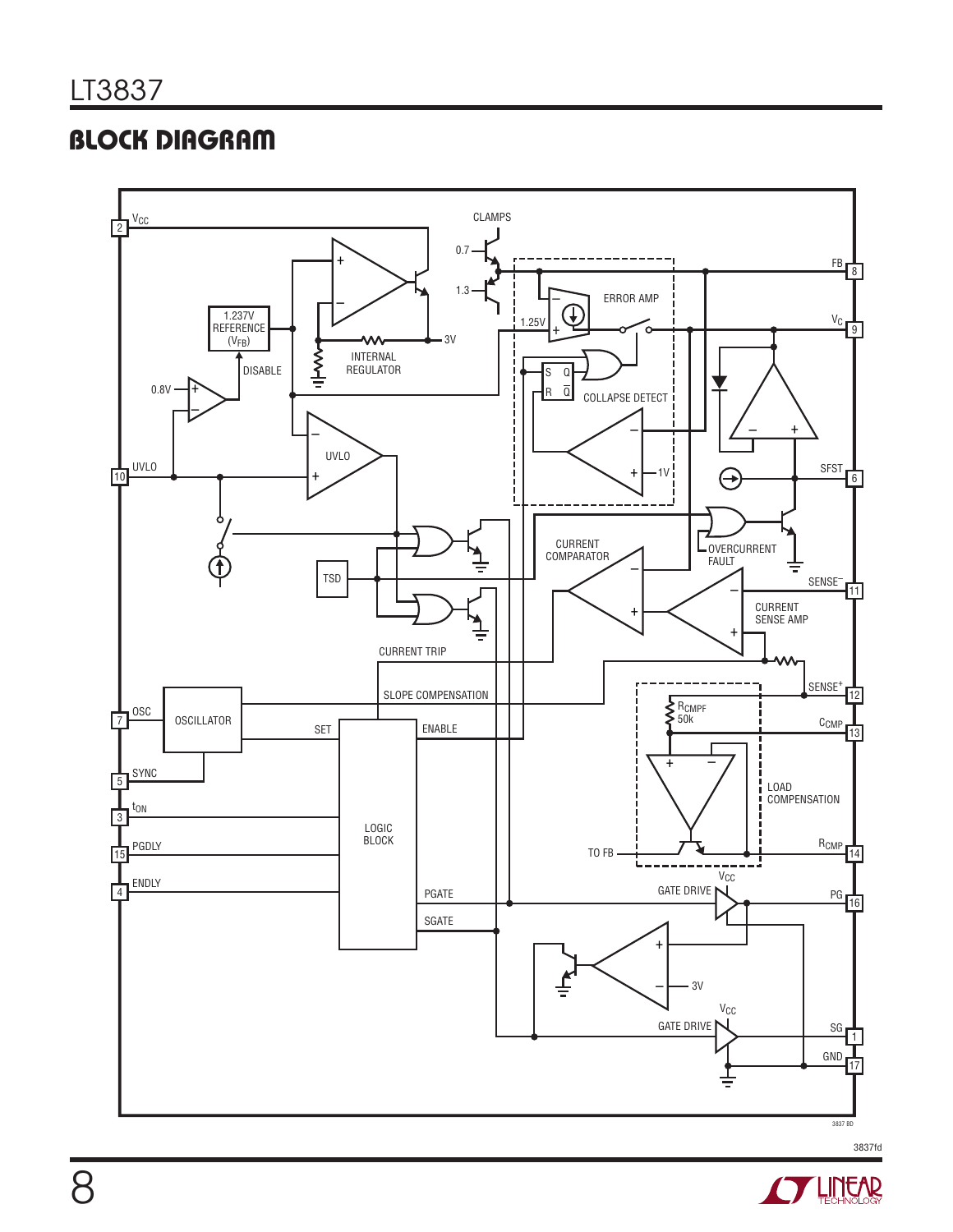# BLOCK DIAGRAM



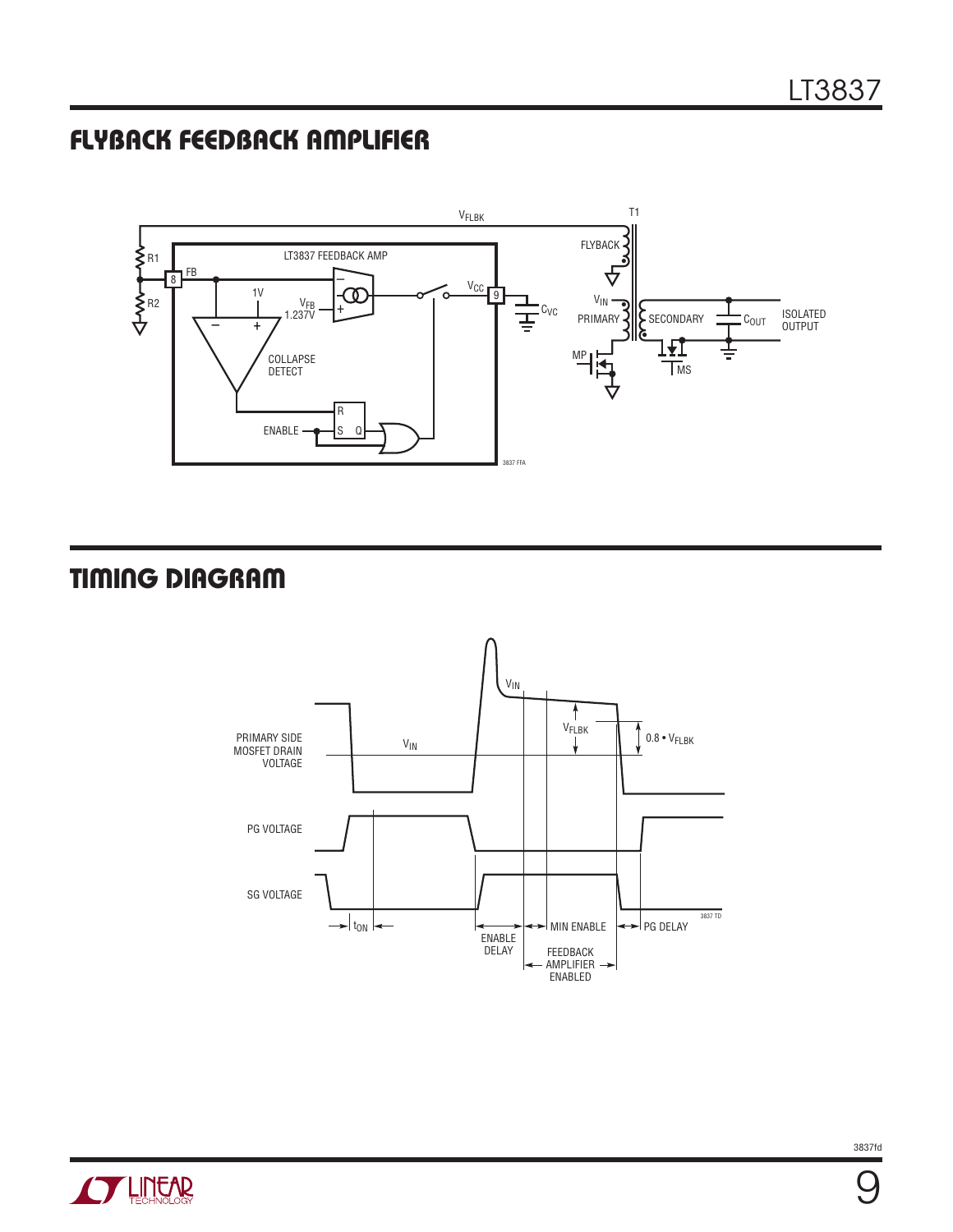### FLYBACK FEEDBACK AMPLIFIER



# TIMING DIAGRAM





9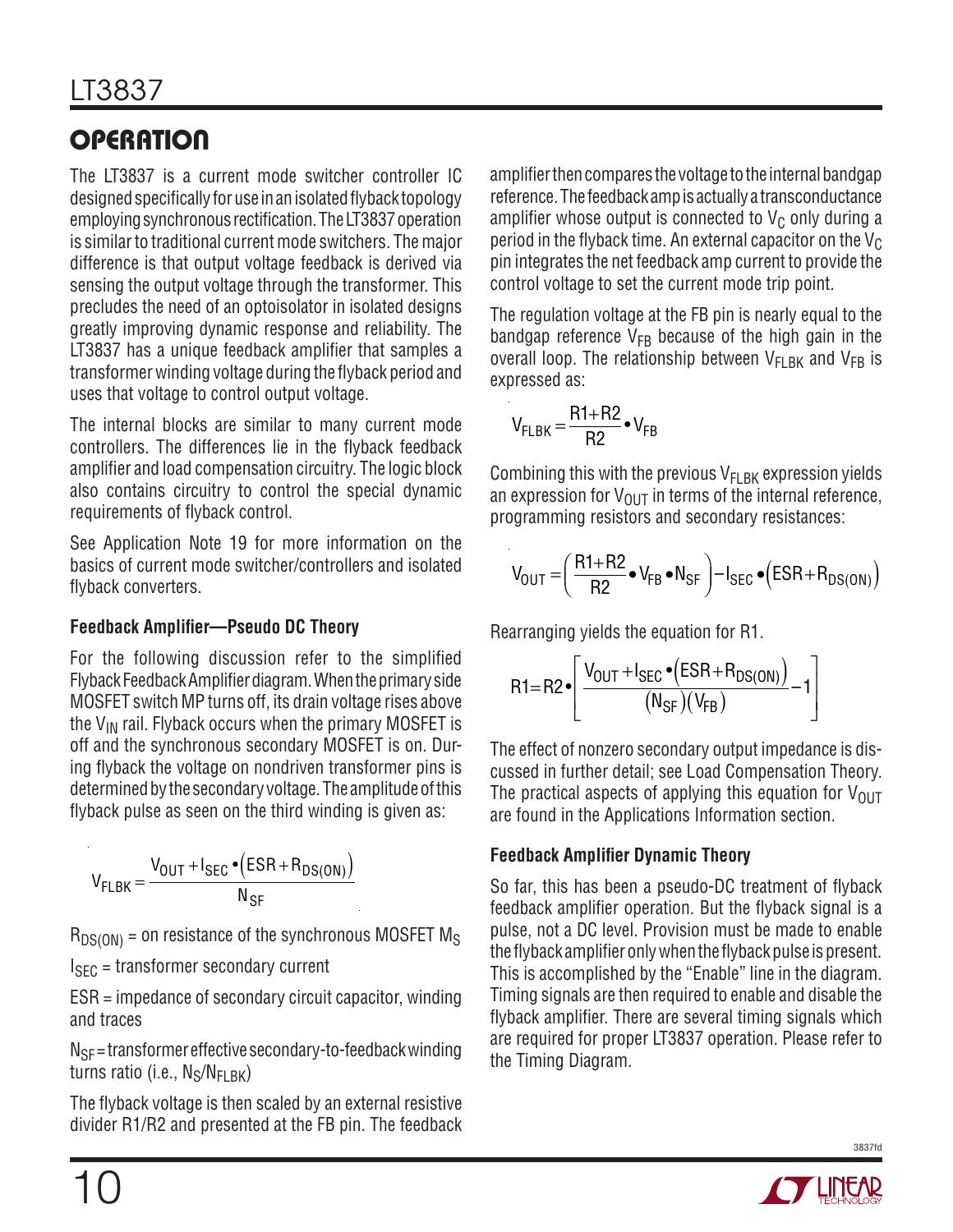# **OPERATION**

The LT3837 is a current mode switcher controller IC designed specifically for use in an isolated flyback topology employing synchronous rectification. The LT3837 operation is similar to traditional current mode switchers. The major difference is that output voltage feedback is derived via sensing the output voltage through the transformer. This precludes the need of an optoisolator in isolated designs greatly improving dynamic response and reliability. The LT3837 has a unique feedback amplifier that samples a transformer winding voltage during the flyback period and uses that voltage to control output voltage.

The internal blocks are similar to many current mode controllers. The differences lie in the flyback feedback amplifier and load compensation circuitry. The logic block also contains circuitry to control the special dynamic requirements of flyback control.

See Application Note 19 for more information on the basics of current mode switcher/controllers and isolated flyback converters.

### **Feedback Amplifier—Pseudo DC Theory**

For the following discussion refer to the simplified Flyback Feedback Amplifier diagram. When the primary side MOSFET switch MP turns off, its drain voltage rises above the  $V_{IN}$  rail. Flyback occurs when the primary MOSFET is off and the synchronous secondary MOSFET is on. During flyback the voltage on nondriven transformer pins is determined by the secondary voltage. The amplitude of this flyback pulse as seen on the third winding is given as:

$$
V_{FLBK} = \frac{V_{OUT} + I_{SEC} \cdot (ESR + R_{DS(ON)})}{N_{SF}}
$$

 $R_{DS(ON)}$  = on resistance of the synchronous MOSFET M<sub>S</sub>

 $I<sub>SFC</sub>$  = transformer secondary current

ESR = impedance of secondary circuit capacitor, winding and traces

 $N_{SF}$  = transformer effective secondary-to-feedback winding turns ratio (i.e.,  $N_S/N_{FIRK}$ )

The flyback voltage is then scaled by an external resistive divider R1/R2 and presented at the FB pin. The feedback amplifier then compares the voltage to the internal bandgap reference. The feedback amp is actually a transconductance amplifier whose output is connected to  $V_c$  only during a period in the flyback time. An external capacitor on the  $V_C$ pin integrates the net feedback amp current to provide the control voltage to set the current mode trip point.

The regulation voltage at the FB pin is nearly equal to the bandgap reference  $V_{FB}$  because of the high gain in the overall loop. The relationship between  $V_{FI \, BK}$  and  $V_{FB}$  is expressed as:

$$
V_{FLBK} = \frac{R1 + R2}{R2} \cdot V_{FB}
$$

Combining this with the previous  $V_{FLBK}$  expression yields an expression for  $V_{OUT}$  in terms of the internal reference, programming resistors and secondary resistances:

$$
V_{OUT} = \left(\frac{R1 + R2}{R2} \bullet V_{FB} \bullet N_{SF}\right) - I_{SEC} \bullet \left(ESR + R_{DS(ON)}\right)
$$

Rearranging yields the equation for R1.

$$
\mathsf{R1}\text{=} \mathsf{R2}\text{-}\!\left[\frac{\mathsf{V}_{\mathsf{OUT}}\text{+}\mathsf{I}_{\mathsf{SEC}}\text{-}\left(\mathsf{ESR}\text{+}\mathsf{R}_{\mathsf{DS}(\mathsf{ON})}\right)}{\left(\mathsf{N}_{\mathsf{SF}}\right)\left(\mathsf{V}_{\mathsf{FB}}\right)}\text{-}\mathsf{1}\right]
$$

The effect of nonzero secondary output impedance is discussed in further detail; see Load Compensation Theory. The practical aspects of applying this equation for  $V_{\text{OUT}}$ are found in the Applications Information section.

### **Feedback Amplifier Dynamic Theory**

So far, this has been a pseudo-DC treatment of flyback feedback amplifier operation. But the flyback signal is a pulse, not a DC level. Provision must be made to enable the flyback amplifier only when the flyback pulse is present. This is accomplished by the "Enable" line in the diagram. Timing signals are then required to enable and disable the flyback amplifier. There are several timing signals which are required for proper LT3837 operation. Please refer to the Timing Diagram.

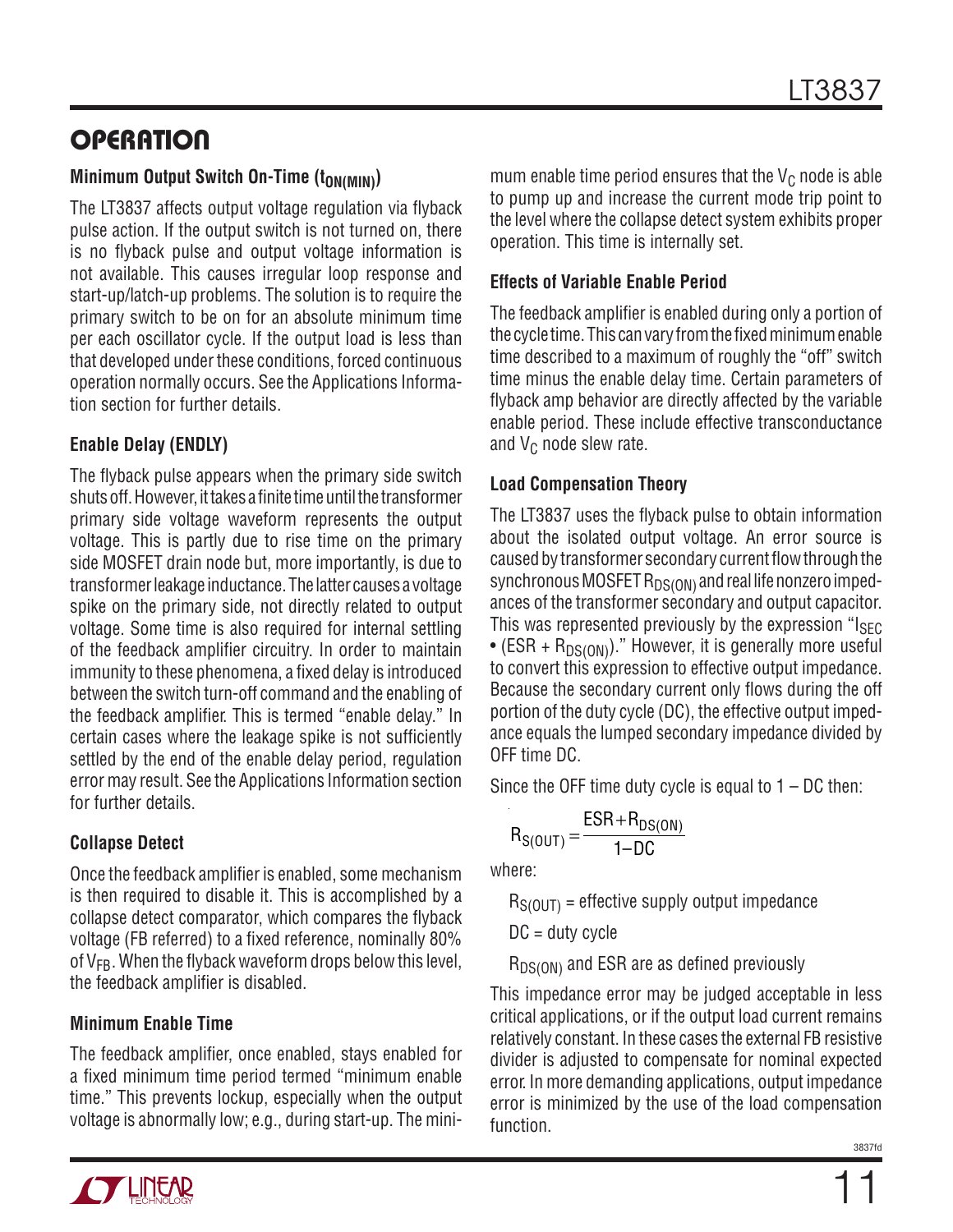# **OPERATION**

### **Minimum Output Switch On-Time (toN(MIN))**

The LT3837 affects output voltage regulation via flyback pulse action. If the output switch is not turned on, there is no flyback pulse and output voltage information is not available. This causes irregular loop response and start-up/latch-up problems. The solution is to require the primary switch to be on for an absolute minimum time per each oscillator cycle. If the output load is less than that developed under these conditions, forced continuous operation normally occurs. See the Applications Information section for further details.

### **Enable Delay (ENDLY)**

The flyback pulse appears when the primary side switch shuts off. However, it takes a finite time until the transformer primary side voltage waveform represents the output voltage. This is partly due to rise time on the primary side MOSFET drain node but, more importantly, is due to transformer leakage inductance. The latter causes a voltage spike on the primary side, not directly related to output voltage. Some time is also required for internal settling of the feedback amplifier circuitry. In order to maintain immunity to these phenomena, a fixed delay is introduced between the switch turn-off command and the enabling of the feedback amplifier. This is termed "enable delay." In certain cases where the leakage spike is not sufficiently settled by the end of the enable delay period, regulation error may result. See the Applications Information section for further details.

### **Collapse Detect**

Once the feedback amplifier is enabled, some mechanism is then required to disable it. This is accomplished by a collapse detect comparator, which compares the flyback voltage (FB referred) to a fixed reference, nominally 80% of  $V_{FB}$ . When the flyback waveform drops below this level, the feedback amplifier is disabled.

### **Minimum Enable Time**

The feedback amplifier, once enabled, stays enabled for a fixed minimum time period termed "minimum enable time." This prevents lockup, especially when the output voltage is abnormally low; e.g., during start-up. The minimum enable time period ensures that the  $V_C$  node is able to pump up and increase the current mode trip point to the level where the collapse detect system exhibits proper operation. This time is internally set.

### **Effects of Variable Enable Period**

The feedback amplifier is enabled during only a portion of the cycle time. This can vary from the fixed minimum enable time described to a maximum of roughly the "off" switch time minus the enable delay time. Certain parameters of flyback amp behavior are directly affected by the variable enable period. These include effective transconductance and  $V_C$  node slew rate.

### **Load Compensation Theory**

The LT3837 uses the flyback pulse to obtain information about the isolated output voltage. An error source is caused by transformer secondary current flow through the synchronous MOSFET  $R_{DS(ON)}$  and real life nonzero impedances of the transformer secondary and output capacitor. This was represented previously by the expression " $I_{SFC}$ • (ESR +  $R_{DS(ON)}$ )." However, it is generally more useful to convert this expression to effective output impedance. Because the secondary current only flows during the off portion of the duty cycle (DC), the effective output impedance equals the lumped secondary impedance divided by OFF time DC.

Since the OFF time duty cycle is equal to  $1 - DC$  then:

$$
R_{S(OUT)} = \frac{ESR + R_{DS(ON)}}{1 - DC}
$$

where:

 $R_{S(0|1T)}$  = effective supply output impedance

 $DC =$  duty cycle

 $R_{DS(ON)}$  and ESR are as defined previously

This impedance error may be judged acceptable in less critical applications, or if the output load current remains relatively constant. In these cases the external FB resistive divider is adjusted to compensate for nominal expected error. In more demanding applications, output impedance error is minimized by the use of the load compensation function.

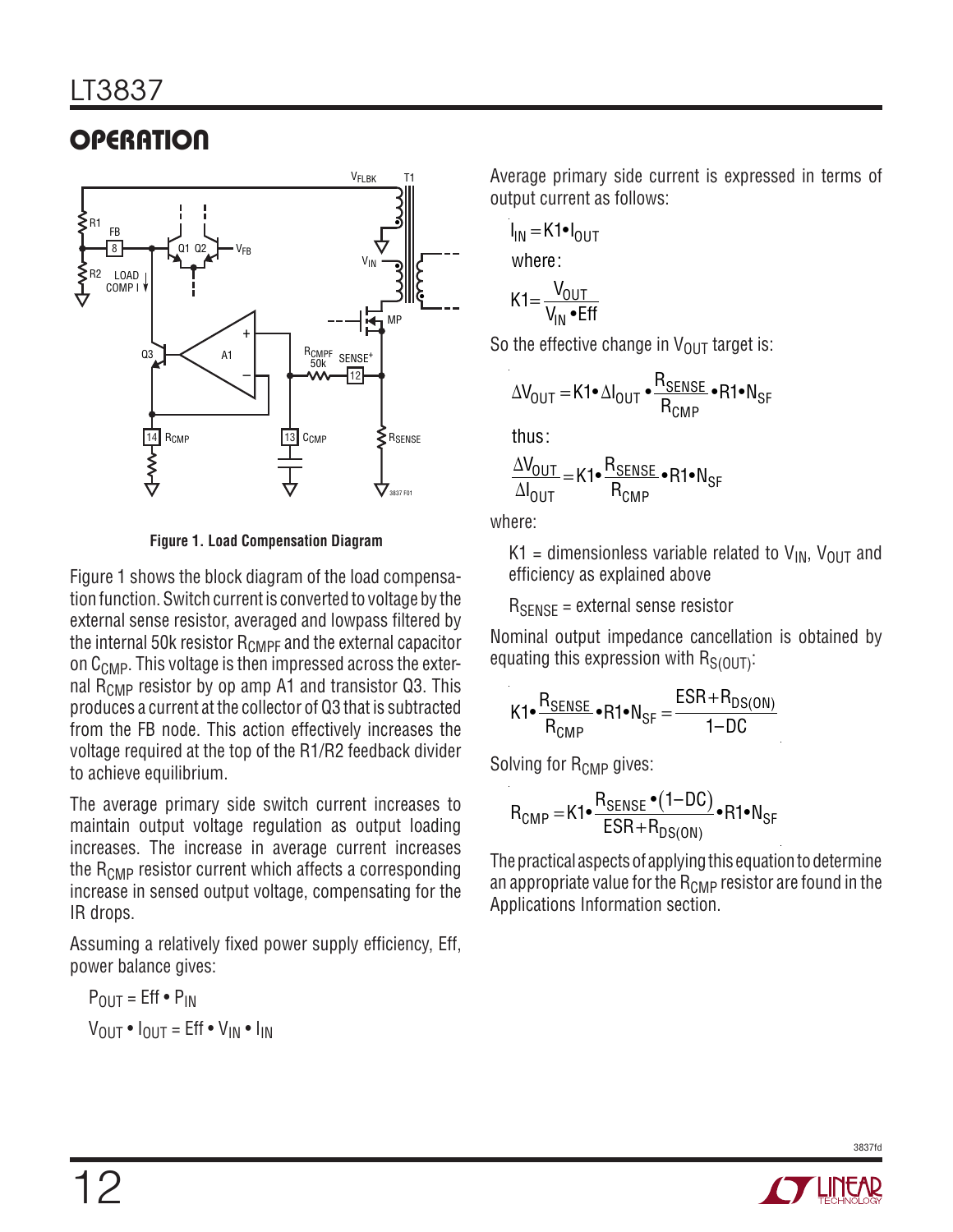# **OPERATION**



**Figure 1. Load Compensation Diagram**

Figure 1 shows the block diagram of the load compensation function. Switch current is converted to voltage by the external sense resistor, averaged and lowpass filtered by the internal 50k resistor  $R_{\text{CMPF}}$  and the external capacitor on C<sub>CMP</sub>. This voltage is then impressed across the external  $\overline{R}_{\text{CMD}}$  resistor by op amp A1 and transistor Q3. This produces a current at the collector of Q3 that is subtracted from the FB node. This action effectively increases the voltage required at the top of the R1/R2 feedback divider to achieve equilibrium.

The average primary side switch current increases to maintain output voltage regulation as output loading increases. The increase in average current increases the  $R_{\text{CMP}}$  resistor current which affects a corresponding increase in sensed output voltage, compensating for the IR drops.

Assuming a relatively fixed power supply efficiency, Eff, power balance gives:

POUT = Eff • PIN VOUT • IOUT = Eff • VIN • IIN

Average primary side current is expressed in terms of output current as follows:

$$
I_{IN} = K1 \bullet I_{OUT}
$$
  
where:

$$
K1 = \frac{V_{OUT}}{V_{IN} \cdot Eff}
$$

So the effective change in  $V_{\text{OUT}}$  target is:

$$
\Delta V_{\text{OUT}} = \text{K1} \cdot \Delta I_{\text{OUT}} \cdot \frac{R_{\text{SENSE}}}{R_{\text{CMP}}} \cdot \text{R1} \cdot N_{\text{SF}}
$$

thus:

$$
\frac{\Delta V_{OUT}}{\Delta I_{OUT}} = K1 \bullet \frac{R_{SENSE}}{R_{CMP}} \bullet R1 \bullet N_{SF}
$$

where:

K1 = dimensionless variable related to  $V_{IN}$ ,  $V_{OUT}$  and efficiency as explained above

 $R_{\text{SENSE}}$  = external sense resistor

Nominal output impedance cancellation is obtained by equating this expression with  $R_{S(0|1T)}$ :

$$
K1 \bullet \frac{R_{\text{SENSE}}}{R_{\text{CMP}}} \bullet R1 \bullet N_{\text{SF}} = \frac{ESR + R_{DS(ON)}}{1 - DC}
$$

Solving for R<sub>CMP</sub> gives:

$$
R_{\text{CMP}} = K1 \bullet \frac{R_{\text{SENSE}} \bullet (1 - \text{DC})}{\text{ESR} + R_{\text{DS}(\text{ON})}} \bullet R1 \bullet N_{\text{SF}}
$$

The practical aspects of applying this equation to determine an appropriate value for the  $R_{\text{CMP}}$  resistor are found in the Applications Information section.

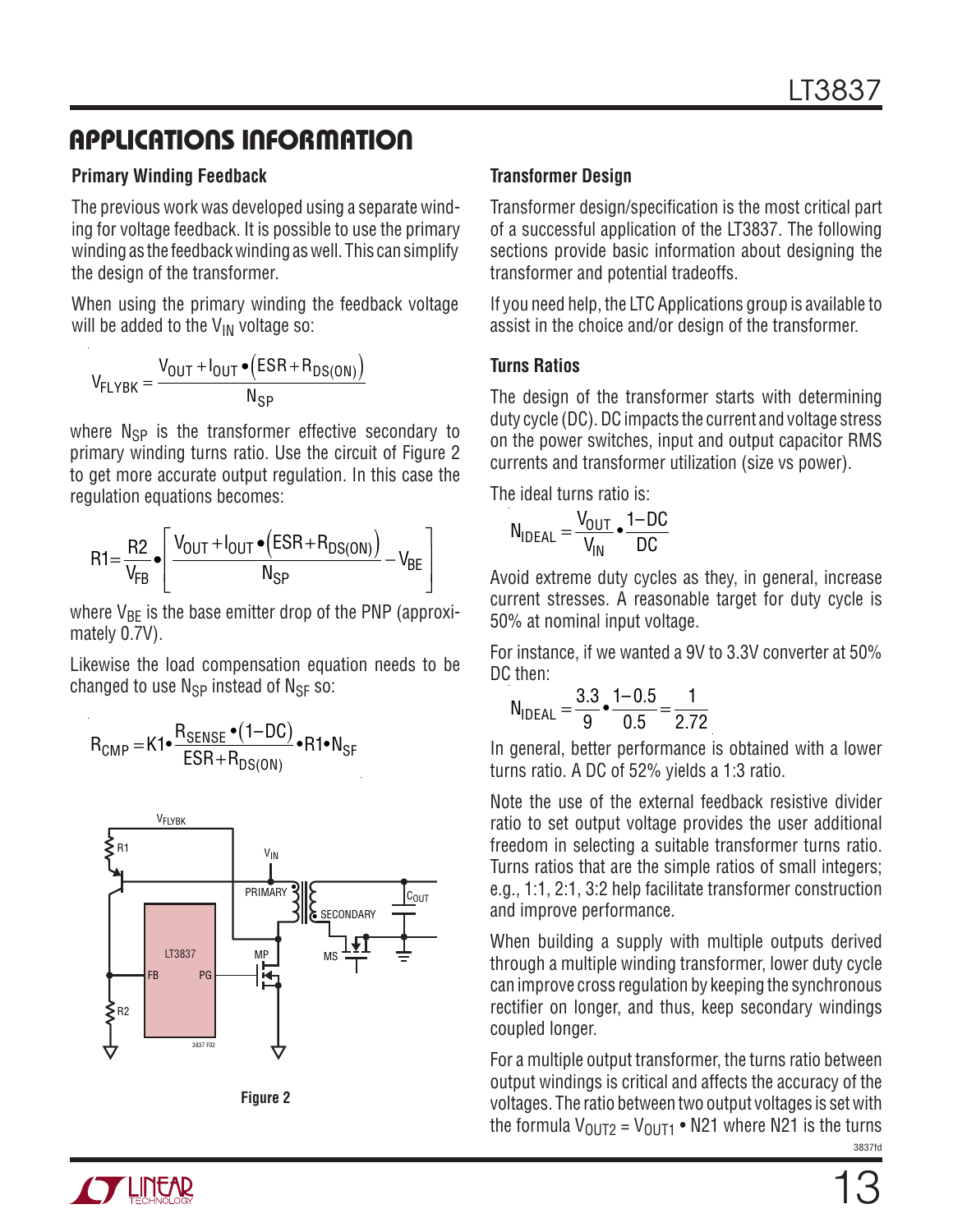#### **Primary Winding Feedback**

The previous work was developed using a separate winding for voltage feedback. It is possible to use the primary winding as the feedback winding as well. This can simplify the design of the transformer.

When using the primary winding the feedback voltage will be added to the  $V_{IN}$  voltage so:

$$
V_{FLYBK} = \frac{V_{OUT} + I_{OUT} \bullet (ESR + R_{DS(ON)})}{N_{SP}}
$$

where  $N_{SP}$  is the transformer effective secondary to primary winding turns ratio. Use the circuit of Figure 2 to get more accurate output regulation. In this case the regulation equations becomes:

$$
R1 = \frac{R2}{V_{FB}} \cdot \left[ \frac{V_{OUT} + I_{OUT} \cdot (ESR + R_{DS(ON)})}{N_{SP}} - V_{BE} \right]
$$

where  $V_{BF}$  is the base emitter drop of the PNP (approximately 0.7V).

Likewise the load compensation equation needs to be changed to use  $N_{SP}$  instead of  $N_{SF}$  so:







#### **Transformer Design**

Transformer design/specification is the most critical part of a successful application of the LT3837. The following sections provide basic information about designing the transformer and potential tradeoffs.

If you need help, the LTC Applications group is available to assist in the choice and/or design of the transformer.

#### **Turns Ratios**

The design of the transformer starts with determining duty cycle (DC). DC impacts the current and voltage stress on the power switches, input and output capacitor RMS currents and transformer utilization (size vs power).

The ideal turns ratio is:

$$
N_{\mathsf{IDEAL}} = \frac{V_{\mathsf{OUT}}}{V_{\mathsf{IN}}} \cdot \frac{1-\mathsf{DC}}{\mathsf{DC}}
$$

Avoid extreme duty cycles as they, in general, increase current stresses. A reasonable target for duty cycle is 50% at nominal input voltage.

For instance, if we wanted a 9V to 3.3V converter at 50% DC then:

$$
N_{\text{IDEAL}} = \frac{3.3}{9} \cdot \frac{1 - 0.5}{0.5} = \frac{1}{2.72}
$$

In general, better performance is obtained with a lower turns ratio. A DC of 52% yields a 1:3 ratio.

Note the use of the external feedback resistive divider ratio to set output voltage provides the user additional freedom in selecting a suitable transformer turns ratio. Turns ratios that are the simple ratios of small integers; e.g., 1:1, 2:1, 3:2 help facilitate transformer construction and improve performance.

When building a supply with multiple outputs derived through a multiple winding transformer, lower duty cycle can improve cross regulation by keeping the synchronous rectifier on longer, and thus, keep secondary windings coupled longer.

3837fd For a multiple output transformer, the turns ratio between output windings is critical and affects the accuracy of the voltages. The ratio between two output voltages is set with the formula  $V_{\text{OUT2}} = V_{\text{OUT1}} \cdot \text{N21}$  where N21 is the turns

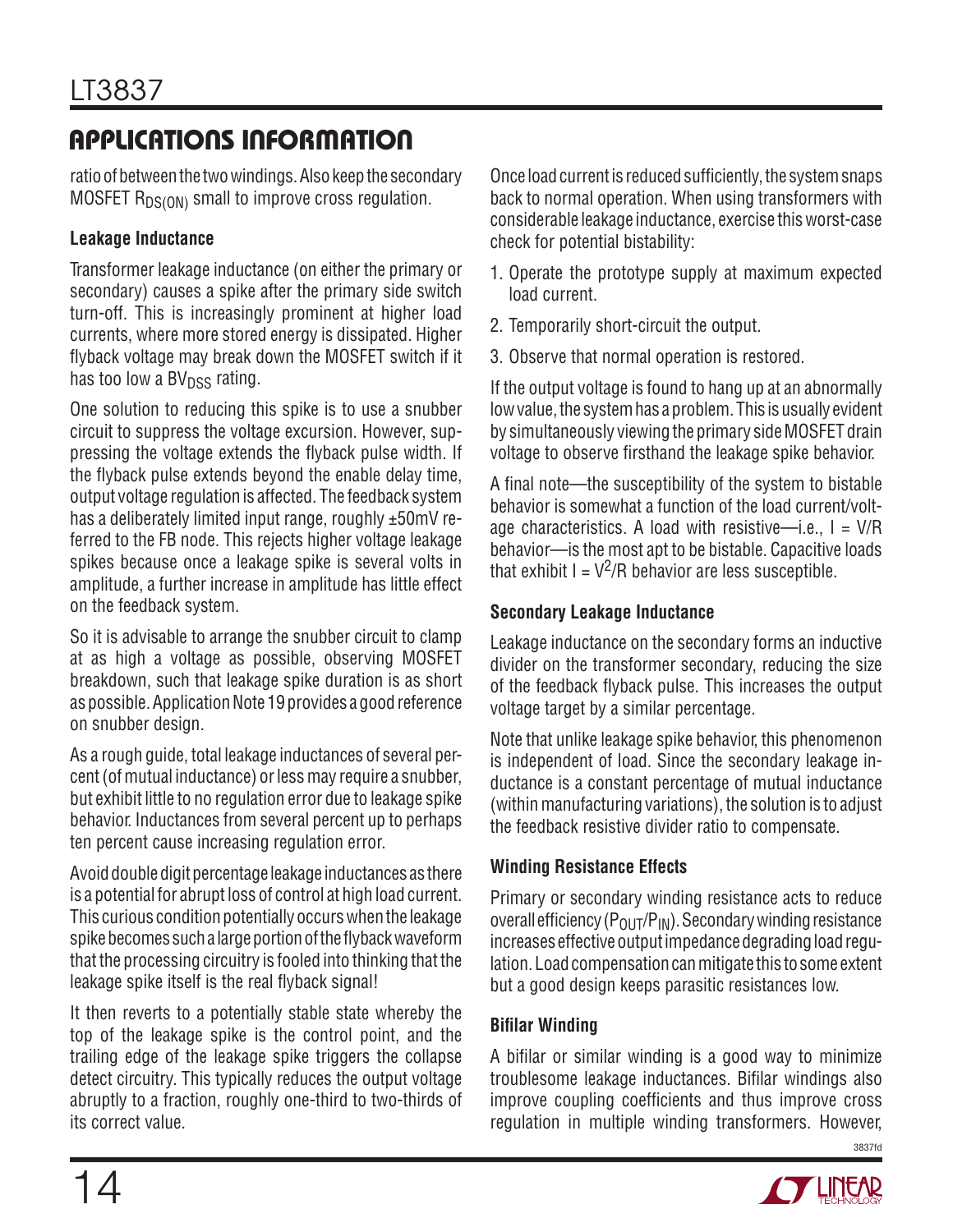ratio of between the two windings. Also keep the secondary MOSFET  $R_{DS(ON)}$  small to improve cross regulation.

### **Leakage Inductance**

Transformer leakage inductance (on either the primary or secondary) causes a spike after the primary side switch turn-off. This is increasingly prominent at higher load currents, where more stored energy is dissipated. Higher flyback voltage may break down the MOSFET switch if it has too low a  $BV<sub>DSS</sub>$  rating.

One solution to reducing this spike is to use a snubber circuit to suppress the voltage excursion. However, suppressing the voltage extends the flyback pulse width. If the flyback pulse extends beyond the enable delay time, output voltage regulation is affected. The feedback system has a deliberately limited input range, roughly ±50mV referred to the FB node. This rejects higher voltage leakage spikes because once a leakage spike is several volts in amplitude, a further increase in amplitude has little effect on the feedback system.

So it is advisable to arrange the snubber circuit to clamp at as high a voltage as possible, observing MOSFET breakdown, such that leakage spike duration is as short as possible. Application Note 19 provides a good reference on snubber design.

As a rough guide, total leakage inductances of several percent (of mutual inductance) or less may require a snubber, but exhibit little to no regulation error due to leakage spike behavior. Inductances from several percent up to perhaps ten percent cause increasing regulation error.

Avoid double digit percentage leakage inductances as there is a potential for abrupt loss of control at high load current. This curious condition potentially occurs when the leakage spike becomes such a large portion of the flyback waveform that the processing circuitry is fooled into thinking that the leakage spike itself is the real flyback signal!

It then reverts to a potentially stable state whereby the top of the leakage spike is the control point, and the trailing edge of the leakage spike triggers the collapse detect circuitry. This typically reduces the output voltage abruptly to a fraction, roughly one-third to two-thirds of its correct value.

Once load current is reduced sufficiently, the system snaps back to normal operation. When using transformers with considerable leakage inductance, exercise this worst-case check for potential bistability:

- 1. Operate the prototype supply at maximum expected load current.
- 2. Temporarily short-circuit the output.
- 3. Observe that normal operation is restored.

If the output voltage is found to hang up at an abnormally low value, the system has a problem. This is usually evident by simultaneously viewing the primary side MOSFET drain voltage to observe firsthand the leakage spike behavior.

A final note—the susceptibility of the system to bistable behavior is somewhat a function of the load current/voltage characteristics. A load with resistive—i.e.,  $I = V/R$ behavior—is the most apt to be bistable. Capacitive loads that exhibit  $I = V^2/R$  behavior are less susceptible.

### **Secondary Leakage Inductance**

Leakage inductance on the secondary forms an inductive divider on the transformer secondary, reducing the size of the feedback flyback pulse. This increases the output voltage target by a similar percentage.

Note that unlike leakage spike behavior, this phenomenon is independent of load. Since the secondary leakage inductance is a constant percentage of mutual inductance (within manufacturing variations), the solution is to adjust the feedback resistive divider ratio to compensate.

### **Winding Resistance Effects**

Primary or secondary winding resistance acts to reduce overall efficiency  $(P_{OUT}/P_{IN})$ . Secondary winding resistance increases effective output impedance degrading load regulation. Load compensation can mitigate this to some extent but a good design keeps parasitic resistances low.

### **Bifilar Winding**

A bifilar or similar winding is a good way to minimize troublesome leakage inductances. Bifilar windings also improve coupling coefficients and thus improve cross regulation in multiple winding transformers. However,

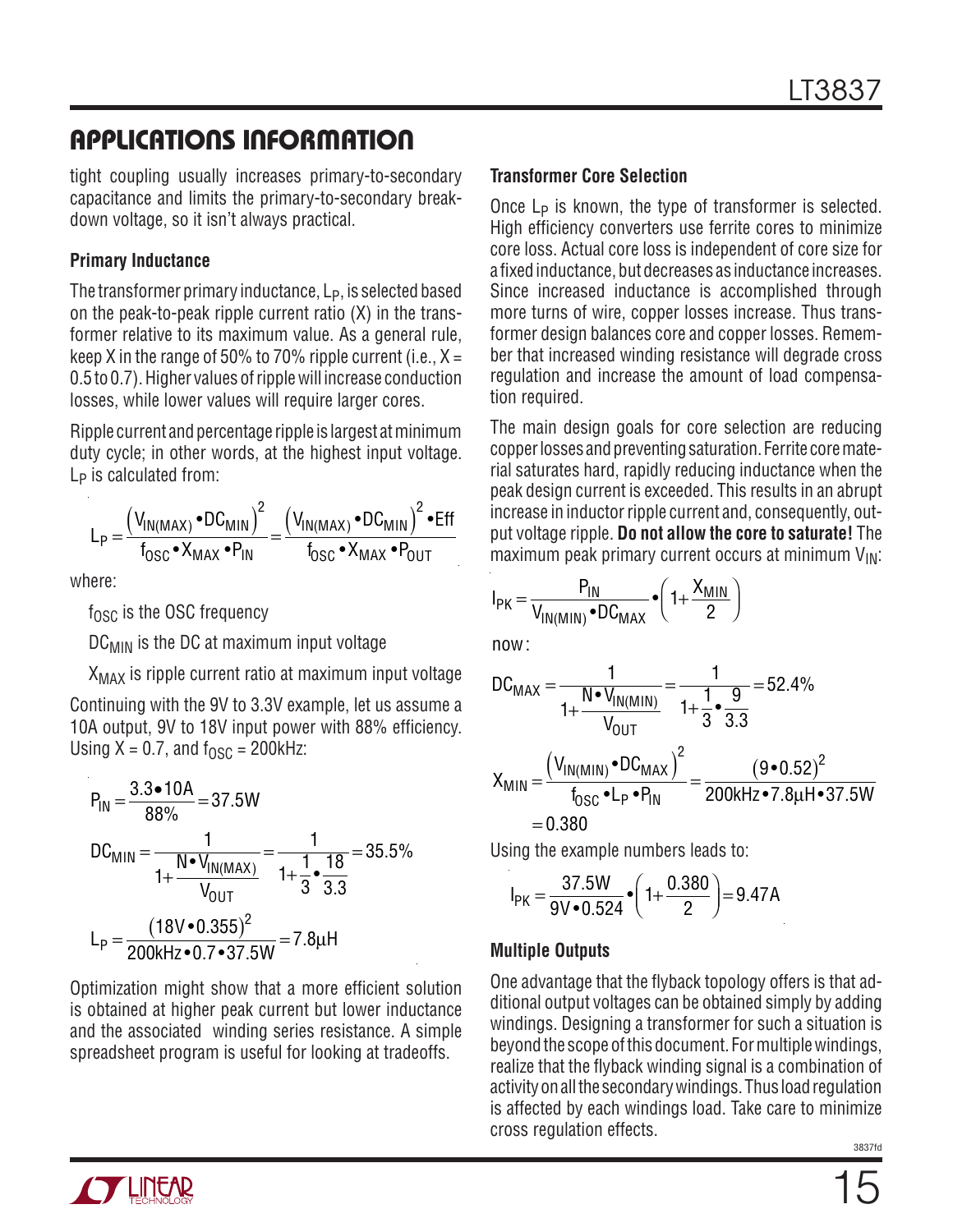tight coupling usually increases primary-to-secondary capacitance and limits the primary-to-secondary breakdown voltage, so it isn't always practical.

#### **Primary Inductance**

The transformer primary inductance, L<sub>P</sub>, is selected based on the peak-to-peak ripple current ratio (X) in the transformer relative to its maximum value. As a general rule, keep X in the range of 50% to 70% ripple current (i.e.,  $X =$ 0.5 to 0.7). Higher values of ripple will increase conduction losses, while lower values will require larger cores.

Ripple current and percentage ripple is largest at minimum duty cycle; in other words, at the highest input voltage. L<sub>P</sub> is calculated from:

$$
L_{P} = \frac{\left(V_{IN(MAX)} \cdot DC_{MIN}\right)^{2}}{f_{OSC} \cdot X_{MAX} \cdot P_{IN}} = \frac{\left(V_{IN(MAX)} \cdot DC_{MIN}\right)^{2} \cdot Eff}{f_{OSC} \cdot X_{MAX} \cdot P_{OUT}}
$$

where:

 $f_{\text{OSC}}$  is the OSC frequency

DC<sub>MIN</sub> is the DC at maximum input voltage

 $X_{MAX}$  is ripple current ratio at maximum input voltage

Continuing with the 9V to 3.3V example, let us assume a 10A output, 9V to 18V input power with 88% efficiency. Using  $X = 0.7$ , and  $f_{OSC} = 200$ kHz:

$$
P_{IN} = \frac{3.3 \cdot 10A}{88\%} = 37.5W
$$
  
DC<sub>MIN</sub> =  $\frac{1}{1 + \frac{N \cdot V_{IN(MAX)}}{V_{OUT}}} = \frac{1}{1 + \frac{1}{3} \cdot \frac{18}{3.3}} = 35.5\%$   

$$
L_{P} = \frac{(18V \cdot 0.355)^{2}}{200kHz \cdot 0.7 \cdot 37.5W} = 7.8\mu H
$$

Optimization might show that a more efficient solution is obtained at higher peak current but lower inductance and the associated winding series resistance. A simple spreadsheet program is useful for looking at tradeoffs.

### **Transformer Core Selection**

Once  $L_P$  is known, the type of transformer is selected. High efficiency converters use ferrite cores to minimize core loss. Actual core loss is independent of core size for a fixed inductance, but decreases as inductance increases. Since increased inductance is accomplished through more turns of wire, copper losses increase. Thus transformer design balances core and copper losses. Remember that increased winding resistance will degrade cross regulation and increase the amount of load compensation required.

The main design goals for core selection are reducing copper losses and preventing saturation. Ferrite core material saturates hard, rapidly reducing inductance when the peak design current is exceeded. This results in an abrupt increase in inductor ripple current and, consequently, output voltage ripple. **Do not allow the core to saturate!** The maximum peak primary current occurs at minimum  $V_{IN}$ :

$$
I_{PK} = \frac{P_{IN}}{V_{IN(MIN)} \cdot DC_{MAX}} \cdot \left(1 + \frac{X_{MIN}}{2}\right)
$$

now :

$$
DC_{MAX} = \frac{1}{1 + \frac{N \cdot V_{IN(MIN)}}{V_{OUT}}} = \frac{1}{1 + \frac{1}{3} \cdot \frac{9}{3.3}} = 52.4\%
$$
  

$$
X_{MIN} = \frac{(V_{IN(MIN)} \cdot DC_{MAX})^{2}}{f_{OSC} \cdot L_{P} \cdot P_{IN}} = \frac{(9 \cdot 0.52)^{2}}{200 \text{kHz} \cdot 7.8 \mu \text{Hz} \cdot 37.5 \text{W}}
$$
  
= 0.380

Using the example numbers leads to:

$$
I_{PK} = \frac{37.5W}{9V \cdot 0.524} \cdot \left(1 + \frac{0.380}{2}\right) = 9.47A
$$

### **Multiple Outputs**

One advantage that the flyback topology offers is that additional output voltages can be obtained simply by adding windings. Designing a transformer for such a situation is beyond the scope of this document. For multiple windings, realize that the flyback winding signal is a combination of activity on all the secondary windings. Thus load regulation is affected by each windings load. Take care to minimize cross regulation effects.

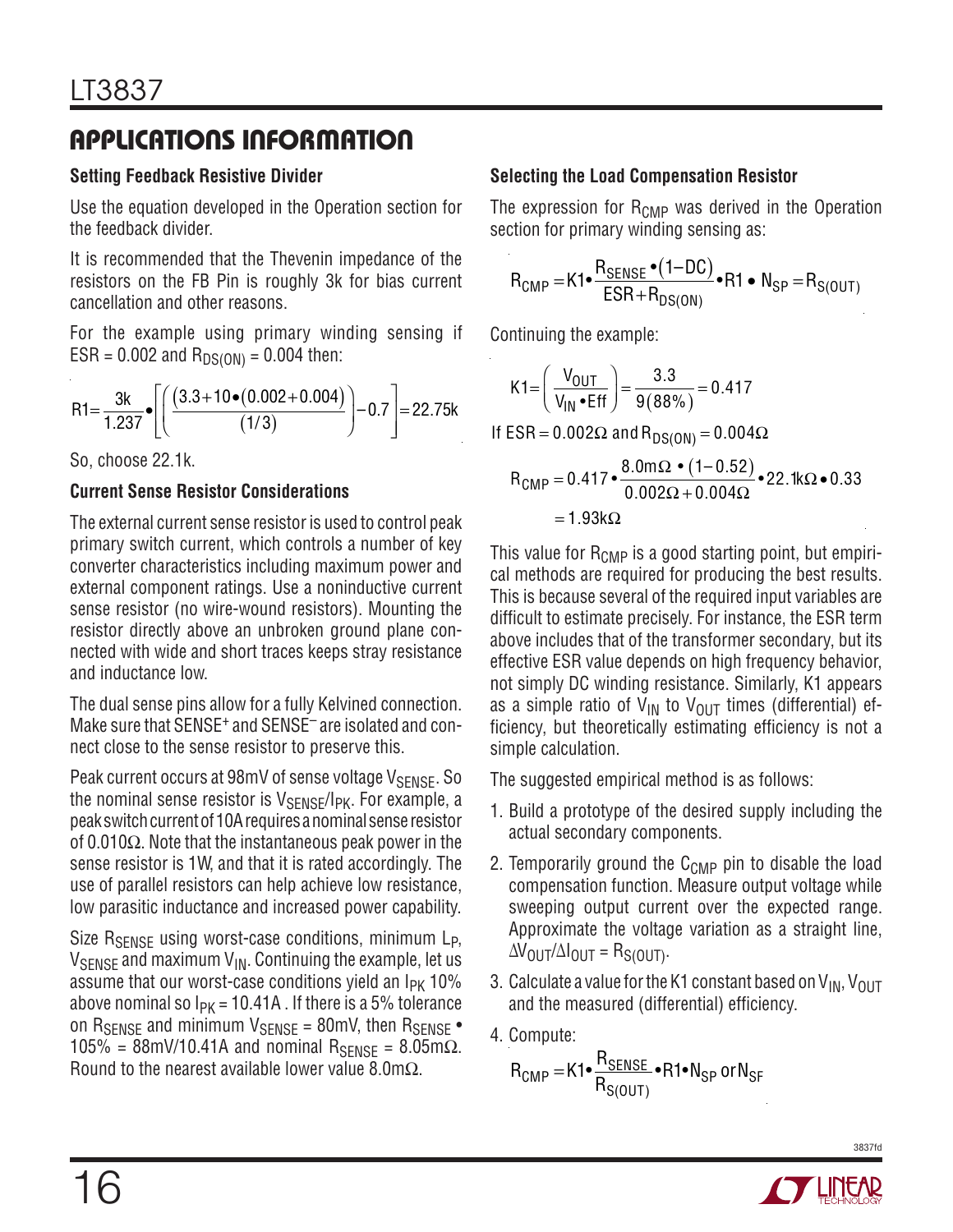### **Setting Feedback Resistive Divider**

Use the equation developed in the Operation section for the feedback divider.

It is recommended that the Thevenin impedance of the resistors on the FB Pin is roughly 3k for bias current cancellation and other reasons.

For the example using primary winding sensing if  $ESR = 0.002$  and  $R_{DS(ON)} = 0.004$  then:

$$
R1 = \frac{3k}{1.237} \cdot \left[ \left( \frac{(3.3 + 10 \cdot (0.002 + 0.004)}{(1/3)} \right) - 0.7 \right] = 22.75k
$$

So, choose 22.1k.

### **Current Sense Resistor Considerations**

The external current sense resistor is used to control peak primary switch current, which controls a number of key converter characteristics including maximum power and external component ratings. Use a noninductive current sense resistor (no wire-wound resistors). Mounting the resistor directly above an unbroken ground plane connected with wide and short traces keeps stray resistance and inductance low.

The dual sense pins allow for a fully Kelvined connection. Make sure that SENSE<sup>+</sup> and SENSE<sup>-</sup> are isolated and connect close to the sense resistor to preserve this.

Peak current occurs at 98mV of sense voltage V<sub>SENSE</sub>. So the nominal sense resistor is  $V_{\text{SENSE}}/I_{\text{PK}}$ . For example, a peak switch current of 10A requires a nominal sense resistor of 0.010Ω. Note that the instantaneous peak power in the sense resistor is 1W, and that it is rated accordingly. The use of parallel resistors can help achieve low resistance, low parasitic inductance and increased power capability.

Size  $R_{\text{SFRSE}}$  using worst-case conditions, minimum  $L_{\text{P}}$ ,  $V_{\text{SENSE}}$  and maximum  $V_{\text{IN}}$ . Continuing the example, let us assume that our worst-case conditions yield an  $I_{PK}$  10% above nominal so  $I_{PK}$  = 10.41A . If there is a 5% tolerance on  $R_{\text{SENSE}}$  and minimum  $V_{\text{SENSE}} = 80$ mV, then  $R_{\text{SENSE}}$ .  $105% = 88$ mV/10.41A and nominal R<sub>SENSE</sub> = 8.05mΩ. Round to the nearest available lower value 8.0m $\Omega$ .

### **Selecting the Load Compensation Resistor**

The expression for  $R_{\text{CMP}}$  was derived in the Operation section for primary winding sensing as:

$$
R_{\text{CMP}} = K1 \cdot \frac{R_{\text{SENSE}} \cdot (1 - DC)}{ESR + R_{DS(ON)}} \cdot R1 \cdot N_{\text{SP}} = R_{S(OUT)}
$$

Continuing the example:

$$
K1 = \left(\frac{V_{\text{OUT}}}{V_{\text{IN}} \cdot \text{Eff}}\right) = \frac{3.3}{9(88\%)} = 0.417
$$

If  $ESR = 0.002\Omega$  and  $R_{DS(ON)} = 0.004\Omega$ 

$$
R_{\text{CMP}} = 0.417 \cdot \frac{8.0 \text{m}\Omega \cdot (1 - 0.52)}{0.002\Omega + 0.004\Omega} \cdot 22.1 \text{k}\Omega \cdot 0.33
$$
  
= 1.93 k\Omega

This value for  $R_{\text{CMP}}$  is a good starting point, but empirical methods are required for producing the best results. This is because several of the required input variables are difficult to estimate precisely. For instance, the ESR term above includes that of the transformer secondary, but its effective ESR value depends on high frequency behavior, not simply DC winding resistance. Similarly, K1 appears as a simple ratio of  $V_{IN}$  to  $V_{OIII}$  times (differential) efficiency, but theoretically estimating efficiency is not a simple calculation.

The suggested empirical method is as follows:

- 1. Build a prototype of the desired supply including the actual secondary components.
- 2. Temporarily ground the  $C_{\text{CMP}}$  pin to disable the load compensation function. Measure output voltage while sweeping output current over the expected range. Approximate the voltage variation as a straight line,  $ΔV$ <sub>OUT</sub> $/ΔI$ <sub>OUT</sub> = R<sub>S(OUT)</sub>.
- 3. Calculate a value for the K1 constant based on  $V_{IN}$ ,  $V_{OUT}$ and the measured (differential) efficiency.
- 4. Compute:

$$
R_{\text{CMP}} = K1 \bullet \frac{R_{\text{SENSE}}}{R_{\text{S}(\text{OUT})}} \bullet R1 \bullet N_{\text{SP}} \text{ or } N_{\text{SF}}
$$

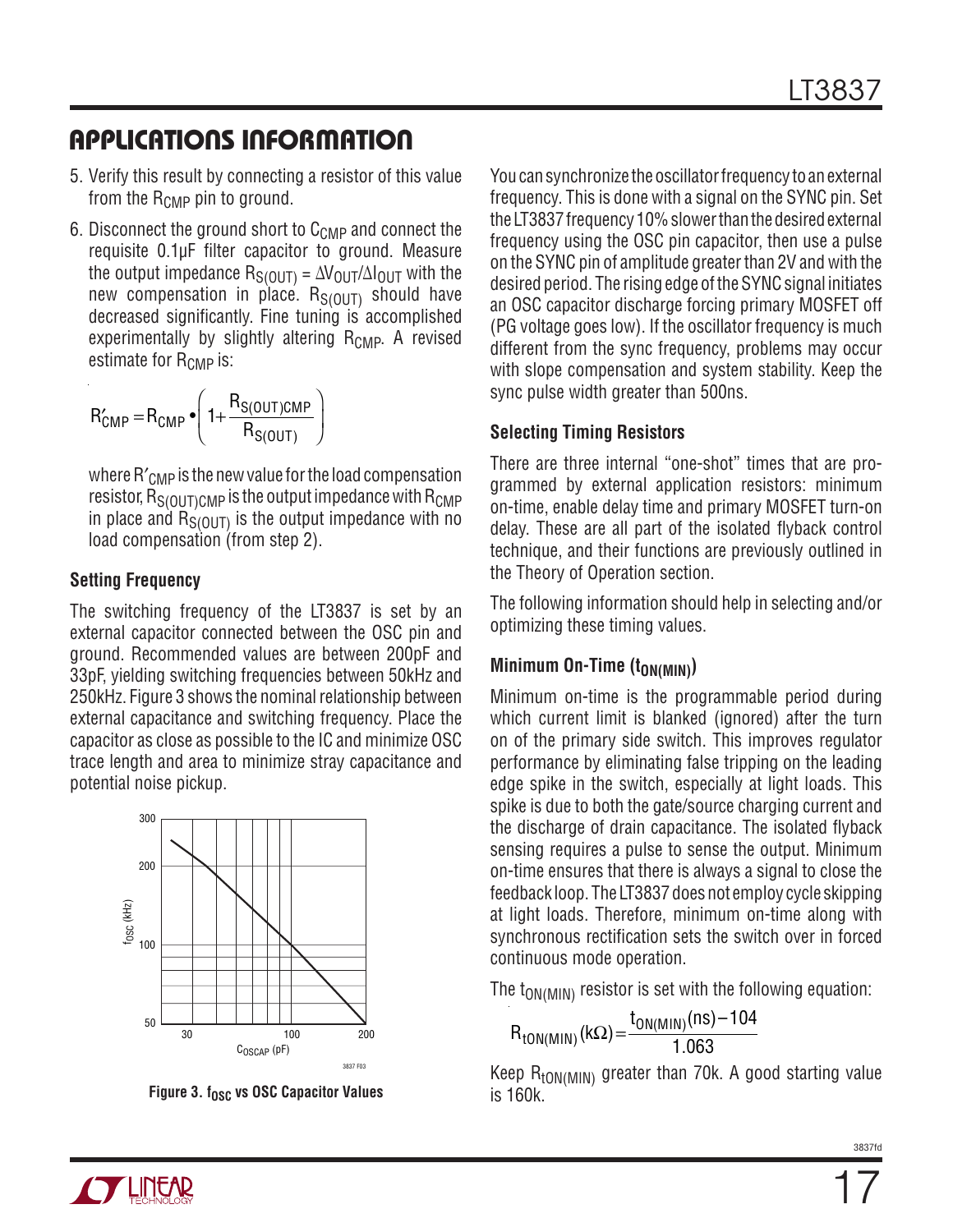- 5. Verify this result by connecting a resistor of this value from the  $R_{\text{CMP}}$  pin to ground.
- 6. Disconnect the ground short to  $C_{\text{CMP}}$  and connect the requisite 0.1µF filter capacitor to ground. Measure the output impedance  $R_{S(OUT)} = \Delta V_{OUT}/\Delta I_{OUT}$  with the new compensation in place.  $R_{S(OUT)}$  should have decreased significantly. Fine tuning is accomplished experimentally by slightly altering  $R_{\text{CMP}}$ . A revised estimate for  $R_{CMP}$  is:

$$
R'_{\text{CMD}} = R_{\text{CMD}} \cdot \left( 1 + \frac{R_{\text{S}(\text{OUT})\text{CMD}}}{R_{\text{S}(\text{OUT})}}} \right)
$$

where  $R'_{\text{CMD}}$  is the new value for the load compensation resistor,  $R_{S(OUT)CMP}$  is the output impedance with  $R_{CMP}$ in place and  $R_{S(OUT)}$  is the output impedance with no load compensation (from step 2).

#### **Setting Frequency**

The switching frequency of the LT3837 is set by an external capacitor connected between the OSC pin and ground. Recommended values are between 200pF and 33pF, yielding switching frequencies between 50kHz and 250kHz. Figure 3 shows the nominal relationship between external capacitance and switching frequency. Place the capacitor as close as possible to the IC and minimize OSC trace length and area to minimize stray capacitance and potential noise pickup.



**Figure 3. fosc vs OSC Capacitor Values** 

You can synchronize the oscillator frequency to an external frequency. This is done with a signal on the SYNC pin. Set the LT3837 frequency 10% slower than the desired external frequency using the OSC pin capacitor, then use a pulse on the SYNC pin of amplitude greater than 2V and with the desired period. The rising edge of the SYNC signal initiates an OSC capacitor discharge forcing primary MOSFET off (PG voltage goes low). If the oscillator frequency is much different from the sync frequency, problems may occur with slope compensation and system stability. Keep the sync pulse width greater than 500ns.

#### **Selecting Timing Resistors**

There are three internal "one-shot" times that are programmed by external application resistors: minimum on-time, enable delay time and primary MOSFET turn-on delay. These are all part of the isolated flyback control technique, and their functions are previously outlined in the Theory of Operation section.

The following information should help in selecting and/or optimizing these timing values.

#### **Minimum On-Time (toN(MIN))**

Minimum on-time is the programmable period during which current limit is blanked (ignored) after the turn on of the primary side switch. This improves regulator performance by eliminating false tripping on the leading edge spike in the switch, especially at light loads. This spike is due to both the gate/source charging current and the discharge of drain capacitance. The isolated flyback sensing requires a pulse to sense the output. Minimum on-time ensures that there is always a signal to close the feedback loop. The LT3837 does not employ cycle skipping at light loads. Therefore, minimum on-time along with synchronous rectification sets the switch over in forced continuous mode operation.

The  $t_{ON(MIN)}$  resistor is set with the following equation:

$$
R_{\text{tON(MIN)}}(k\Omega) = \frac{t_{\text{ON(MIN)}}(ns) - 104}{1.063}
$$

Keep  $R_{\text{tON(MIN)}}$  greater than 70k. A good starting value is 160k.

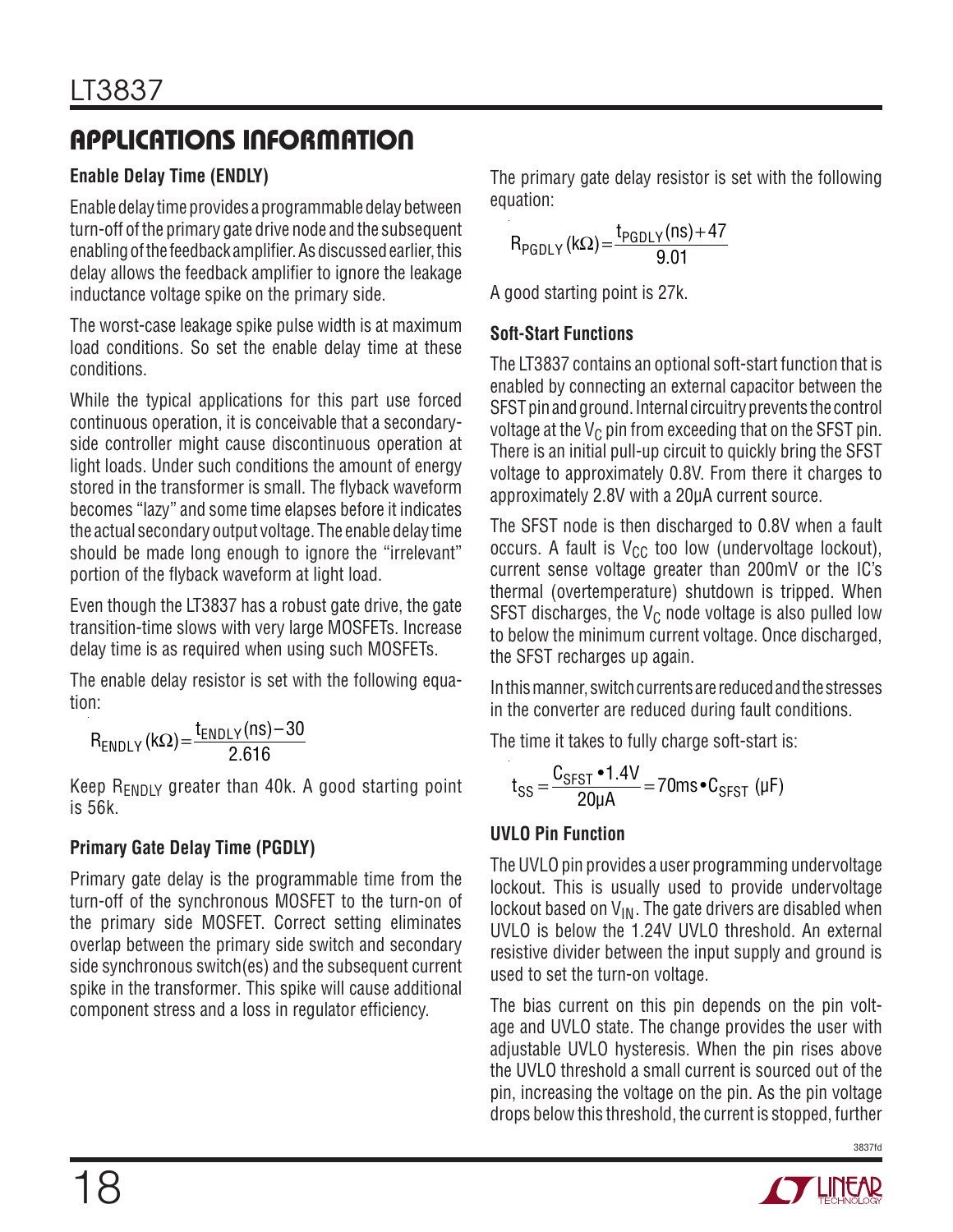### **Enable Delay Time (ENDLY)**

Enable delay time provides a programmable delay between turn-off of the primary gate drive node and the subsequent enabling of the feedback amplifier. As discussed earlier, this delay allows the feedback amplifier to ignore the leakage inductance voltage spike on the primary side.

The worst-case leakage spike pulse width is at maximum load conditions. So set the enable delay time at these conditions.

While the typical applications for this part use forced continuous operation, it is conceivable that a secondaryside controller might cause discontinuous operation at light loads. Under such conditions the amount of energy stored in the transformer is small. The flyback waveform becomes "lazy" and some time elapses before it indicates the actual secondary output voltage. The enable delay time should be made long enough to ignore the "irrelevant" portion of the flyback waveform at light load.

Even though the LT3837 has a robust gate drive, the gate transition-time slows with very large MOSFETs. Increase delay time is as required when using such MOSFETs.

The enable delay resistor is set with the following equation:

 $R_{ENDLY}$ (kΩ) =  $\frac{t_{ENDLY}(ns) - 30}{2.616}$ 

Keep  $R_{ENDLY}$  greater than 40k. A good starting point is 56k.

### **Primary Gate Delay Time (PGDLY)**

Primary gate delay is the programmable time from the turn-off of the synchronous MOSFET to the turn-on of the primary side MOSFET. Correct setting eliminates overlap between the primary side switch and secondary side synchronous switch(es) and the subsequent current spike in the transformer. This spike will cause additional component stress and a loss in regulator efficiency.

The primary gate delay resistor is set with the following equation:

$$
R_{PGDLY}(k\Omega) = \frac{t_{PGDLY}(ns) + 47}{9.01}
$$

A good starting point is 27k.

### **Soft-Start Functions**

The LT3837 contains an optional soft-start function that is enabled by connecting an external capacitor between the SFST pin and ground. Internal circuitry prevents the control voltage at the  $V_C$  pin from exceeding that on the SFST pin. There is an initial pull-up circuit to quickly bring the SFST voltage to approximately 0.8V. From there it charges to approximately 2.8V with a 20µA current source.

The SFST node is then discharged to 0.8V when a fault occurs. A fault is  $V_{CC}$  too low (undervoltage lockout), current sense voltage greater than 200mV or the IC's thermal (overtemperature) shutdown is tripped. When SFST discharges, the  $V_C$  node voltage is also pulled low to below the minimum current voltage. Once discharged, the SFST recharges up again.

In this manner, switch currents are reduced and the stresses in the converter are reduced during fault conditions.

The time it takes to fully charge soft-start is:

$$
t_{SS} = \frac{C_{SFST} \cdot 1.4V}{20\mu A} = 70ms \cdot C_{SFST} \text{ (}\mu\text{F}\text{)}
$$

### **UVLO Pin Function**

The UVLO pin provides a user programming undervoltage lockout. This is usually used to provide undervoltage lockout based on  $V_{\text{IN}}$ . The gate drivers are disabled when UVLO is below the 1.24V UVLO threshold. An external resistive divider between the input supply and ground is used to set the turn-on voltage.

The bias current on this pin depends on the pin voltage and UVLO state. The change provides the user with adjustable UVLO hysteresis. When the pin rises above the UVLO threshold a small current is sourced out of the pin, increasing the voltage on the pin. As the pin voltage drops below this threshold, the current is stopped, further

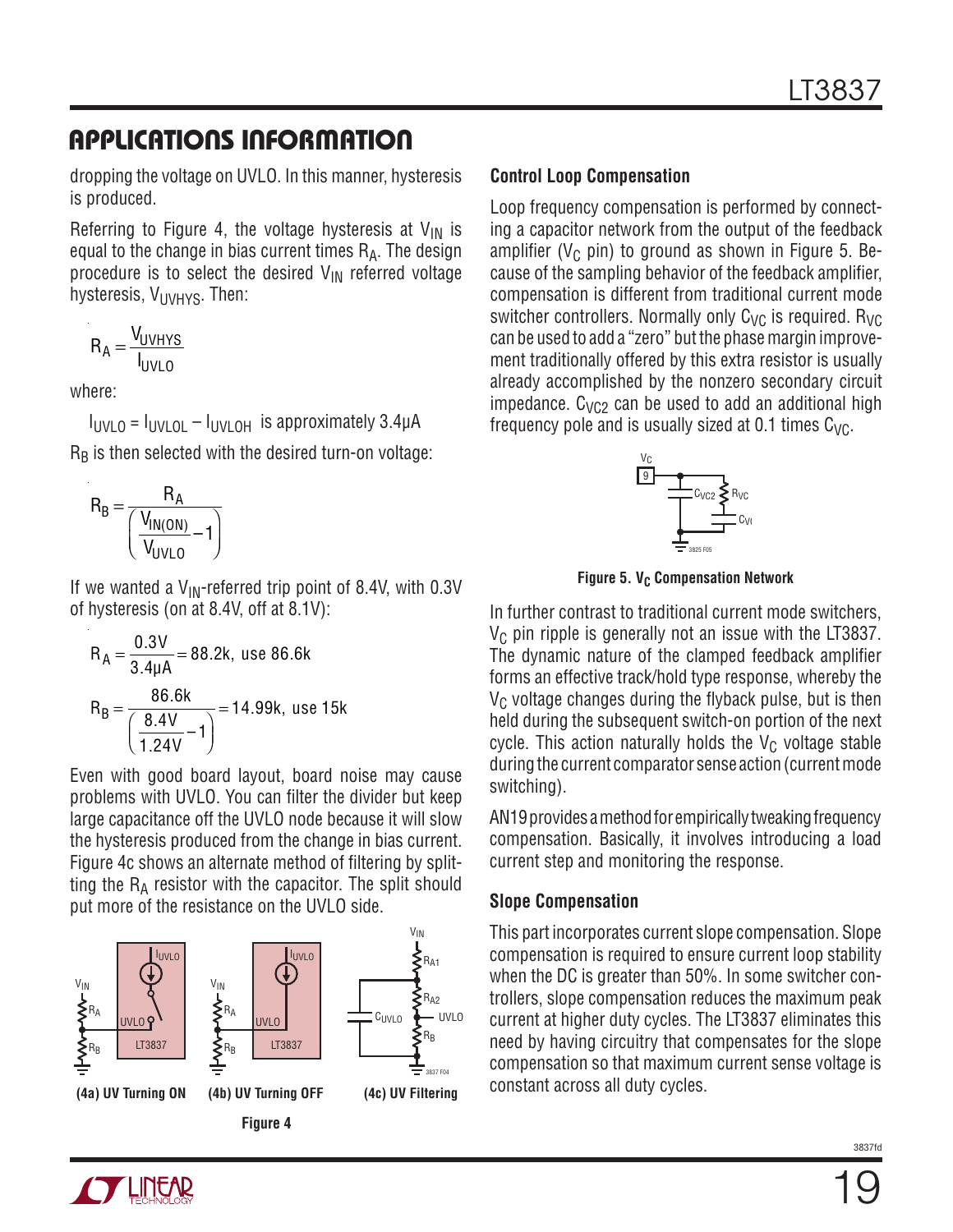dropping the voltage on UVLO. In this manner, hysteresis is produced.

Referring to Figure 4, the voltage hysteresis at  $V_{IN}$  is equal to the change in bias current times  $R_A$ . The design procedure is to select the desired  $V_{\text{IN}}$  referred voltage hysteresis,  $V_{UVHYS}$ . Then:

$$
R_A = \frac{V_{UVHYS}}{I_{UVLO}}
$$

where:

 $I_{UVLO} = I_{UVLOL} - I_{UVLOH}$  is approximately 3.4 $\mu$ A  $R_B$  is then selected with the desired turn-on voltage:

$$
R_B = \frac{R_A}{\left(\frac{V_{IN(ON)}}{V_{UVLO}} - 1\right)}
$$

If we wanted a  $V_{\text{IN}}$ -referred trip point of 8.4V, with 0.3V of hysteresis (on at 8.4V, off at 8.1V):

$$
R_A = \frac{0.3V}{3.4\mu A} = 88.2k, \text{ use } 86.6k
$$
  

$$
R_B = \frac{86.6k}{\left(\frac{8.4V}{1.24V} - 1\right)} = 14.99k, \text{ use } 15k
$$

Even with good board layout, board noise may cause problems with UVLO. You can filter the divider but keep large capacitance off the UVLO node because it will slow the hysteresis produced from the change in bias current. Figure 4c shows an alternate method of filtering by splitting the  $R_A$  resistor with the capacitor. The split should put more of the resistance on the UVLO side.



#### **Control Loop Compensation**

Loop frequency compensation is performed by connecting a capacitor network from the output of the feedback amplifier ( $V_C$  pin) to ground as shown in Figure 5. Because of the sampling behavior of the feedback amplifier, compensation is different from traditional current mode switcher controllers. Normally only  $C_{VC}$  is required.  $R_{VC}$ can be used to add a "zero" but the phase margin improvement traditionally offered by this extra resistor is usually already accomplished by the nonzero secondary circuit impedance.  $C_{VCD}$  can be used to add an additional high frequency pole and is usually sized at 0.1 times  $C_{\text{VC}}$ .



**Figure 5. V<sub>C</sub> Compensation Network** 

In further contrast to traditional current mode switchers,  $V_C$  pin ripple is generally not an issue with the LT3837. The dynamic nature of the clamped feedback amplifier forms an effective track/hold type response, whereby the  $V<sub>C</sub>$  voltage changes during the flyback pulse, but is then held during the subsequent switch-on portion of the next cycle. This action naturally holds the  $V_C$  voltage stable during the current comparator sense action (current mode switching).

AN19 provides a method for empirically tweaking frequency compensation. Basically, it involves introducing a load current step and monitoring the response.

#### **Slope Compensation**

This part incorporates current slope compensation. Slope compensation is required to ensure current loop stability when the DC is greater than 50%. In some switcher controllers, slope compensation reduces the maximum peak current at higher duty cycles. The LT3837 eliminates this need by having circuitry that compensates for the slope compensation so that maximum current sense voltage is constant across all duty cycles.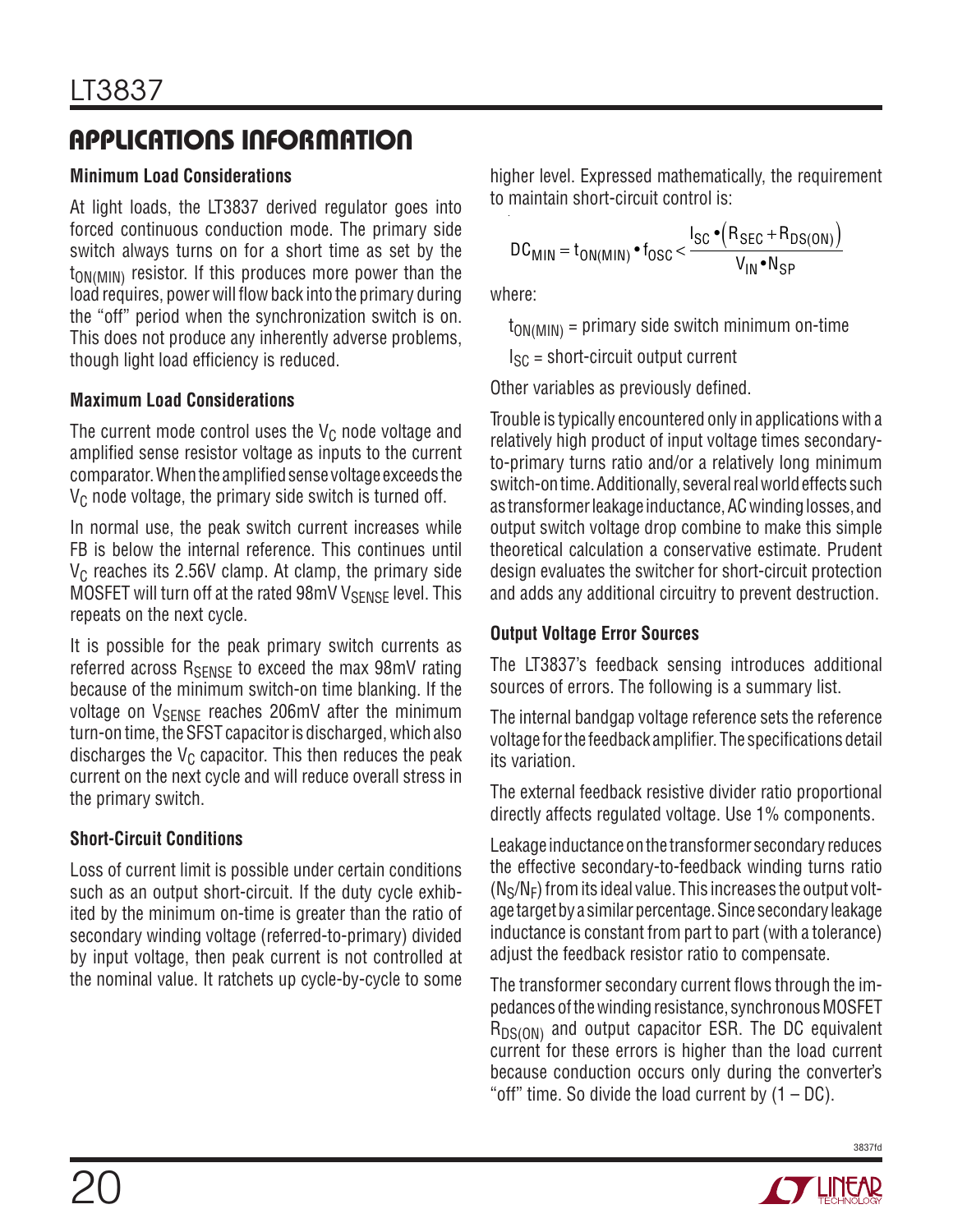### **Minimum Load Considerations**

At light loads, the LT3837 derived regulator goes into forced continuous conduction mode. The primary side switch always turns on for a short time as set by the  $t_{ON(MIN)}$  resistor. If this produces more power than the load requires, power will flow back into the primary during the "off" period when the synchronization switch is on. This does not produce any inherently adverse problems, though light load efficiency is reduced.

### **Maximum Load Considerations**

The current mode control uses the  $V<sub>C</sub>$  node voltage and amplified sense resistor voltage as inputs to the current comparator. When the amplified sense voltage exceeds the  $V<sub>C</sub>$  node voltage, the primary side switch is turned off.

In normal use, the peak switch current increases while FB is below the internal reference. This continues until  $V<sub>C</sub>$  reaches its 2.56V clamp. At clamp, the primary side MOSFET will turn off at the rated 98mV V<sub>SENSE</sub> level. This repeats on the next cycle.

It is possible for the peak primary switch currents as referred across  $R_{\text{SENSF}}$  to exceed the max 98mV rating because of the minimum switch-on time blanking. If the voltage on V<sub>SENSE</sub> reaches 206mV after the minimum turn-on time, the SFST capacitor is discharged, which also discharges the  $V_C$  capacitor. This then reduces the peak current on the next cycle and will reduce overall stress in the primary switch.

### **Short-Circuit Conditions**

Loss of current limit is possible under certain conditions such as an output short-circuit. If the duty cycle exhibited by the minimum on-time is greater than the ratio of secondary winding voltage (referred-to-primary) divided by input voltage, then peak current is not controlled at the nominal value. It ratchets up cycle-by-cycle to some

higher level. Expressed mathematically, the requirement to maintain short-circuit control is:

$$
DC_{MIN} = t_{ON(MIN)} \cdot t_{OSC} < \frac{I_{SC} \cdot (R_{SEC} + R_{DS(ON)})}{V_{IN} \cdot N_{SP}}
$$

where:

 $t_{ON(MIN)}$  = primary side switch minimum on-time

 $I_{SC}$  = short-circuit output current

Other variables as previously defined.

Trouble is typically encountered only in applications with a relatively high product of input voltage times secondaryto-primary turns ratio and/or a relatively long minimum switch-on time. Additionally, several real world effects such as transformer leakage inductance, AC winding losses, and output switch voltage drop combine to make this simple theoretical calculation a conservative estimate. Prudent design evaluates the switcher for short-circuit protection and adds any additional circuitry to prevent destruction.

### **Output Voltage Error Sources**

The LT3837's feedback sensing introduces additional sources of errors. The following is a summary list.

The internal bandgap voltage reference sets the reference voltage for the feedback amplifier. The specifications detail its variation.

The external feedback resistive divider ratio proportional directly affects regulated voltage. Use 1% components.

Leakage inductance on the transformer secondary reduces the effective secondary-to-feedback winding turns ratio  $(N_S/N_F)$  from its ideal value. This increases the output voltage target by a similar percentage. Since secondary leakage inductance is constant from part to part (with a tolerance) adjust the feedback resistor ratio to compensate.

The transformer secondary current flows through the impedances of the winding resistance, synchronous MOSFET  $R_{DS(ON)}$  and output capacitor ESR. The DC equivalent current for these errors is higher than the load current because conduction occurs only during the converter's "off" time. So divide the load current by  $(1 - DC)$ .

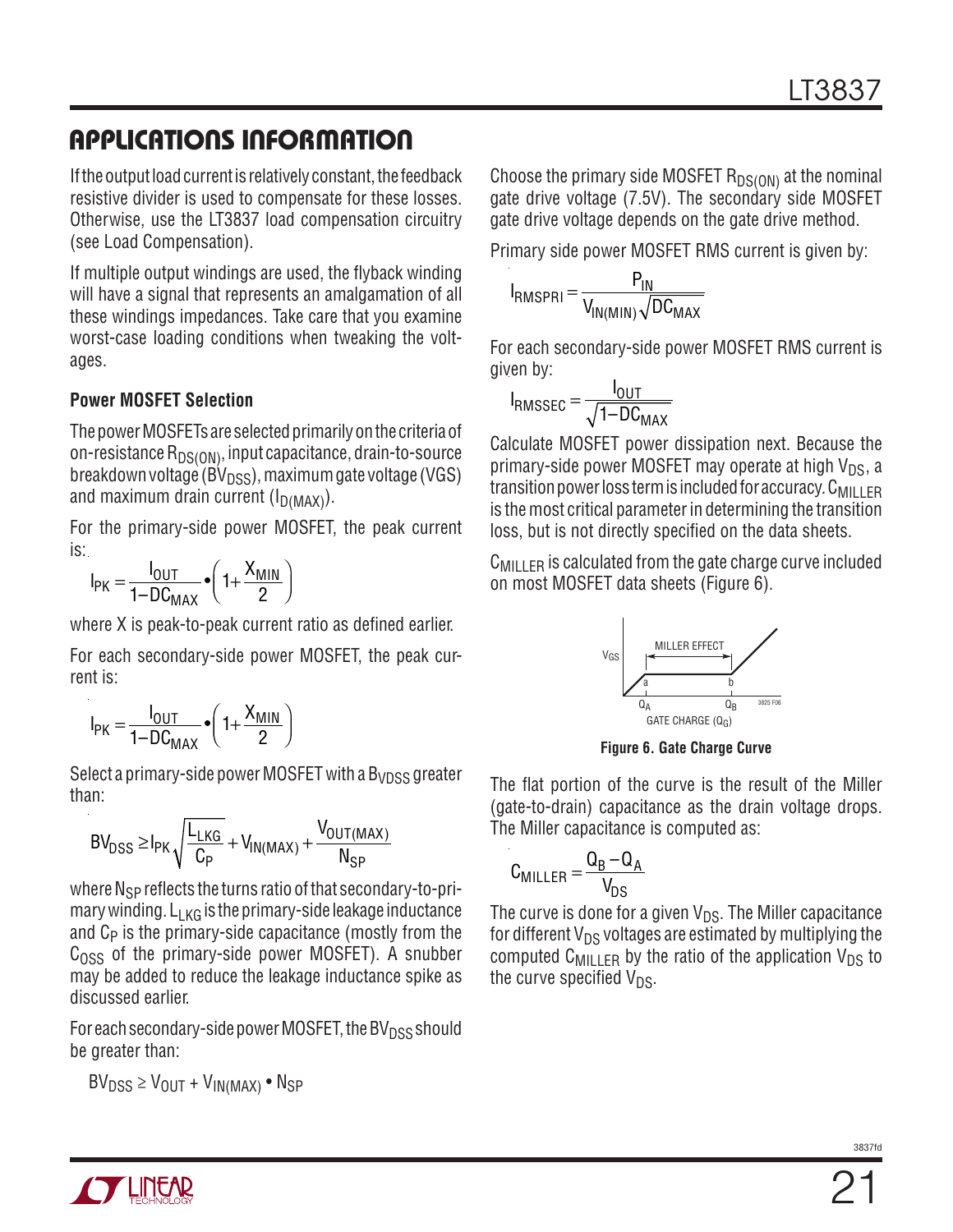If the output load current is relatively constant, the feedback resistive divider is used to compensate for these losses. Otherwise, use the LT3837 load compensation circuitry (see Load Compensation).

If multiple output windings are used, the flyback winding will have a signal that represents an amalgamation of all these windings impedances. Take care that you examine worst-case loading conditions when tweaking the voltages.

#### **Power MOSFET Selection**

The power MOSFETs are selected primarily on the criteria of on-resistance  $R_{DS(ON)}$ , input capacitance, drain-to-source breakdown voltage ( $\overline{BV}_{DSS}$ ), maximum gate voltage (VGS) and maximum drain current  $(I_{D(MAX)})$ .

For the primary-side power MOSFET, the peak current is:

$$
I_{PK} = \frac{I_{OUT}}{1 - DC_{MAX}} \cdot \left(1 + \frac{X_{MIN}}{2}\right)
$$

where X is peak-to-peak current ratio as defined earlier.

For each secondary-side power MOSFET, the peak current is:

$$
I_{PK} = \frac{I_{OUT}}{1 - DC_{MAX}} \cdot \left(1 + \frac{X_{MIN}}{2}\right)
$$

Select a primary-side power MOSFET with a  $B_{VDSS}$  greater than:

$$
BV_{DSS} \geq I_{PK} \sqrt{\frac{L_{LKG}}{C_{P}}} + V_{IN(MAX)} + \frac{V_{OUT(MAX)}}{N_{SP}}
$$

where  $N_{SP}$  reflects the turns ratio of that secondary-to-primary winding.  $L_{KG}$  is the primary-side leakage inductance and  $C_P$  is the primary-side capacitance (mostly from the  $C<sub>OSS</sub>$  of the primary-side power MOSFET). A snubber may be added to reduce the leakage inductance spike as discussed earlier.

For each secondary-side power MOSFET, the BV $_{\text{DSS}}$  should be greater than:

 $BV_{DSS} \geq V_{OUT} + V_{IN(MAX)} \cdot N_{SP}$ 

Choose the primary side MOSFET  $R_{DS(ON)}$  at the nominal gate drive voltage (7.5V). The secondary side MOSFET gate drive voltage depends on the gate drive method.

Primary side power MOSFET RMS current is given by:

$$
I_{RMSPRI} = \frac{P_{IN}}{V_{IN(MIN)}\sqrt{DC_{MAX}}}
$$

For each secondary-side power MOSFET RMS current is given by:

$$
I_{\text{RMSSEC}} = \frac{I_{\text{OUT}}}{\sqrt{1 - DC_{\text{MAX}}}}
$$

Calculate MOSFET power dissipation next. Because the primary-side power MOSFET may operate at high  $V_{DS}$ , a transition power loss term is included for accuracy.  $C_{\text{MILLER}}$ is the most critical parameter in determining the transition loss, but is not directly specified on the data sheets.

C<sub>MILLER</sub> is calculated from the gate charge curve included on most MOSFET data sheets (Figure 6).



**Figure 6. Gate Charge Curve**

The flat portion of the curve is the result of the Miller (gate-to-drain) capacitance as the drain voltage drops. The Miller capacitance is computed as:

$$
C_{MILLER} = \frac{Q_B - Q_A}{V_{DS}}
$$

The curve is done for a given  $V_{DS}$ . The Miller capacitance for different  $V_{DS}$  voltages are estimated by multiplying the computed C<sub>MILLER</sub> by the ratio of the application  $V_{DS}$  to the curve specified  $V_{DS}$ .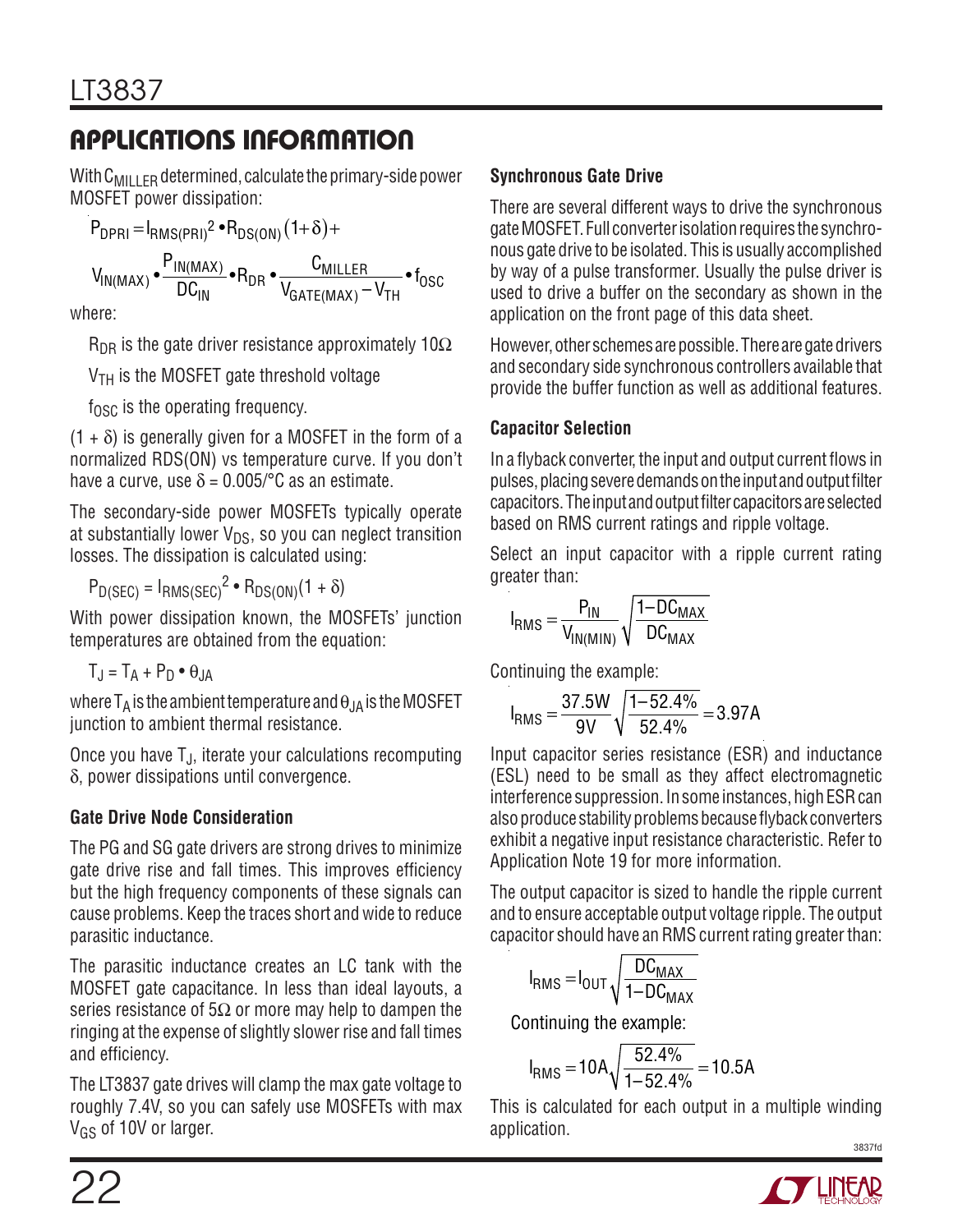With  $C_{\text{MII}}$   $E_{\text{B}}$  determined, calculate the primary-side power MOSFET power dissipation:

$$
P_{DPRI} = I_{RMS(PRI)}^2 \cdot R_{DS(ON)}^2 (1+\delta) +
$$
  
\n
$$
V_{IN(MAX)} \cdot \frac{P_{IN(MAX)}^2}{DC_{IN}} \cdot R_{DR} \cdot \frac{C_{MILLER}}{V_{GATE(MAX)} - V_{TH}} \cdot t_{OSC}
$$
  
\nwhere:

W

 $R_{\text{DR}}$  is the gate driver resistance approximately 10 $\Omega$ 

 $V<sub>TH</sub>$  is the MOSFET gate threshold voltage

 $f_{\rm OSC}$  is the operating frequency.

 $(1 + \delta)$  is generally given for a MOSFET in the form of a normalized RDS(ON) vs temperature curve. If you don't have a curve, use  $\delta = 0.005$ /°C as an estimate.

The secondary-side power MOSFETs typically operate at substantially lower  $V_{DS}$ , so you can neglect transition losses. The dissipation is calculated using:

 $P_{D(SEC)} = I_{RMS(SEC)}^2 \cdot R_{DS(ON)}(1 + \delta)$ 

With power dissipation known, the MOSFETs' junction temperatures are obtained from the equation:

 $T_J = T_A + P_D \bullet \theta_{JA}$ 

where  $T_A$  is the ambient temperature and  $\theta_{JA}$  is the MOSFET junction to ambient thermal resistance.

Once you have TJ, iterate your calculations recomputing  $\delta$ , power dissipations until convergence.

### **Gate Drive Node Consideration**

The PG and SG gate drivers are strong drives to minimize gate drive rise and fall times. This improves efficiency but the high frequency components of these signals can cause problems. Keep the traces short and wide to reduce parasitic inductance.

The parasitic inductance creates an LC tank with the MOSFET gate capacitance. In less than ideal layouts, a series resistance of  $5\Omega$  or more may help to dampen the ringing at the expense of slightly slower rise and fall times and efficiency.

The LT3837 gate drives will clamp the max gate voltage to roughly 7.4V, so you can safely use MOSFETs with max V<sub>GS</sub> of 10V or larger.

### **Synchronous Gate Drive**

There are several different ways to drive the synchronous gate MOSFET. Full converter isolation requires the synchronous gate drive to be isolated. This is usually accomplished by way of a pulse transformer. Usually the pulse driver is used to drive a buffer on the secondary as shown in the application on the front page of this data sheet.

However, other schemes are possible. There are gate drivers and secondary side synchronous controllers available that provide the buffer function as well as additional features.

### **Capacitor Selection**

In a flyback converter, the input and output current flows in pulses, placing severe demands on the input and output filter capacitors. The input and output filter capacitors are selected based on RMS current ratings and ripple voltage.

Select an input capacitor with a ripple current rating greater than:

$$
I_{RMS} = \frac{P_{IN}}{V_{IN(MIN)}} \sqrt{\frac{1 - DC_{MAX}}{DC_{MAX}}}
$$

Continuing the example:

$$
I_{RMS} = \frac{37.5W}{9V} \sqrt{\frac{1-52.4\%}{52.4\%}} = 3.97A
$$

Input capacitor series resistance (ESR) and inductance (ESL) need to be small as they affect electromagnetic interference suppression. In some instances, high ESR can also produce stability problems because flyback converters exhibit a negative input resistance characteristic. Refer to Application Note 19 for more information.

The output capacitor is sized to handle the ripple current and to ensure acceptable output voltage ripple. The output capacitor should have an RMS current rating greater than:

$$
I_{RMS} = I_{OUT} \sqrt{\frac{DC_{MAX}}{1 - DC_{MAX}}}
$$

Continuing the example:

$$
I_{RMS} = 10A\sqrt{\frac{52.4\%}{1-52.4\%}} = 10.5A
$$

This is calculated for each output in a multiple winding application.

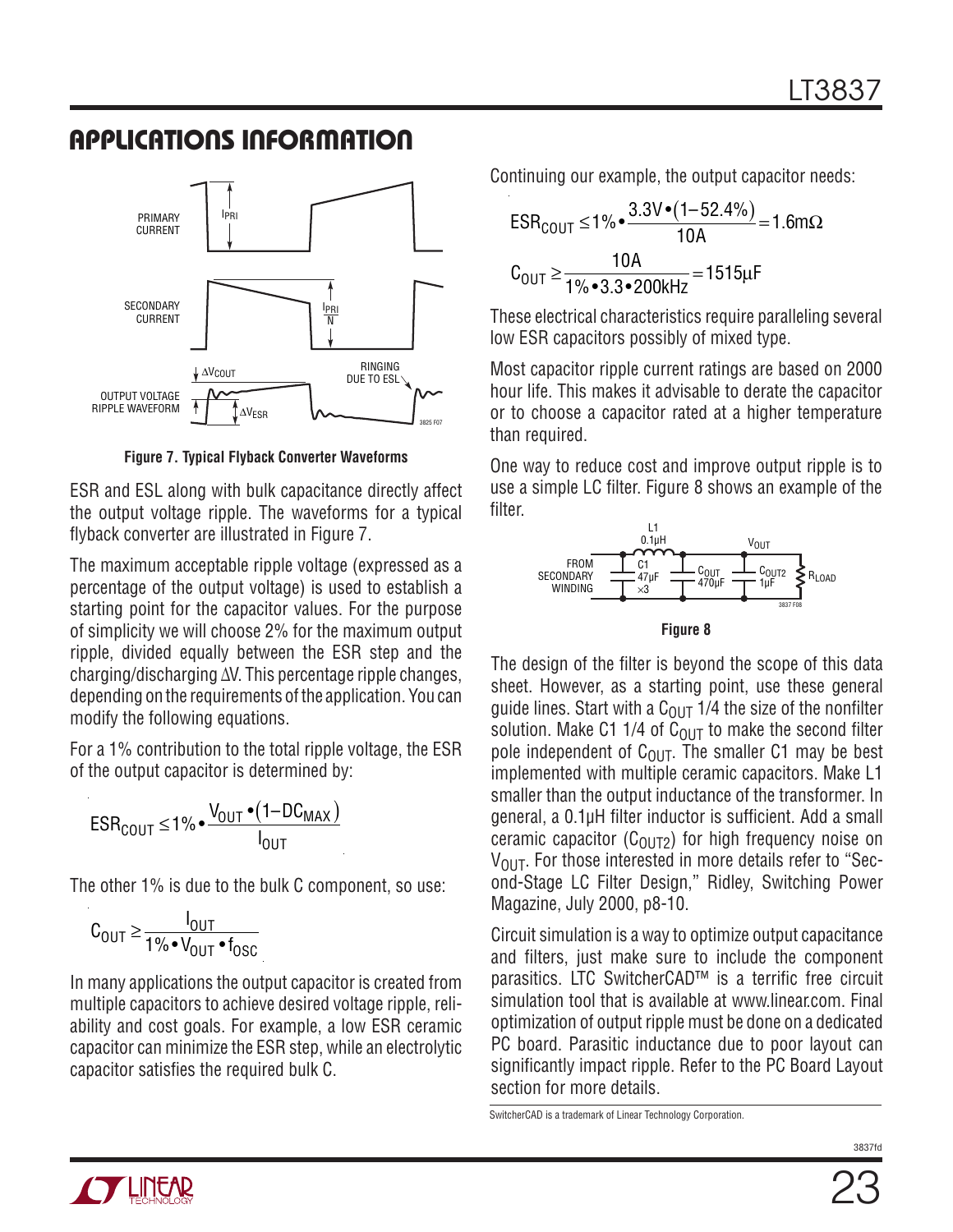

**Figure 7. Typical Flyback Converter Waveforms**

ESR and ESL along with bulk capacitance directly affect the output voltage ripple. The waveforms for a typical flyback converter are illustrated in Figure 7.

The maximum acceptable ripple voltage (expressed as a percentage of the output voltage) is used to establish a starting point for the capacitor values. For the purpose of simplicity we will choose 2% for the maximum output ripple, divided equally between the ESR step and the charging/discharging ∆V. This percentage ripple changes, depending on the requirements of the application. You can modify the following equations.

For a 1% contribution to the total ripple voltage, the ESR of the output capacitor is determined by:

$$
ESR_{COUT} \le 1\% \cdot \frac{V_{OUT} \cdot (1 - DC_{MAX})}{I_{OUT}}
$$

The other 1% is due to the bulk C component, so use:

$$
C_{\text{OUT}} \geq \frac{I_{\text{OUT}}}{1\% \cdot V_{\text{OUT}} \cdot f_{\text{OSC}}}
$$

In many applications the output capacitor is created from multiple capacitors to achieve desired voltage ripple, reliability and cost goals. For example, a low ESR ceramic capacitor can minimize the ESR step, while an electrolytic capacitor satisfies the required bulk C.

Continuing our example, the output capacitor needs:

$$
ESRCOUT ≤ 1% •  $\frac{3.3V \cdot (1 - 52.4\%)}{10A} = 1.6m\Omega$   

$$
COUT ≥ \frac{10A}{1% • 3.3 • 200kHz} = 1515\mu F
$$
$$

These electrical characteristics require paralleling several low ESR capacitors possibly of mixed type.

Most capacitor ripple current ratings are based on 2000 hour life. This makes it advisable to derate the capacitor or to choose a capacitor rated at a higher temperature than required.

One way to reduce cost and improve output ripple is to use a simple LC filter. Figure 8 shows an example of the filter.



**Figure 8**

The design of the filter is beyond the scope of this data sheet. However, as a starting point, use these general guide lines. Start with a  $C<sub>OUT</sub>$  1/4 the size of the nonfilter solution. Make C1 1/4 of  $C<sub>OUT</sub>$  to make the second filter pole independent of  $C_{OUT}$ . The smaller C1 may be best implemented with multiple ceramic capacitors. Make L1 smaller than the output inductance of the transformer. In general, a 0.1µH filter inductor is sufficient. Add a small ceramic capacitor ( $C_{O(1)T2}$ ) for high frequency noise on  $V<sub>OUT</sub>$ . For those interested in more details refer to "Second-Stage LC Filter Design," Ridley, Switching Power Magazine, July 2000, p8-10.

Circuit simulation is a way to optimize output capacitance and filters, just make sure to include the component parasitics. LTC SwitcherCAD™ is a terrific free circuit simulation tool that is available at www.linear.com. Final optimization of output ripple must be done on a dedicated PC board. Parasitic inductance due to poor layout can significantly impact ripple. Refer to the PC Board Layout section for more details.

SwitcherCAD is a trademark of Linear Technology Corporation.



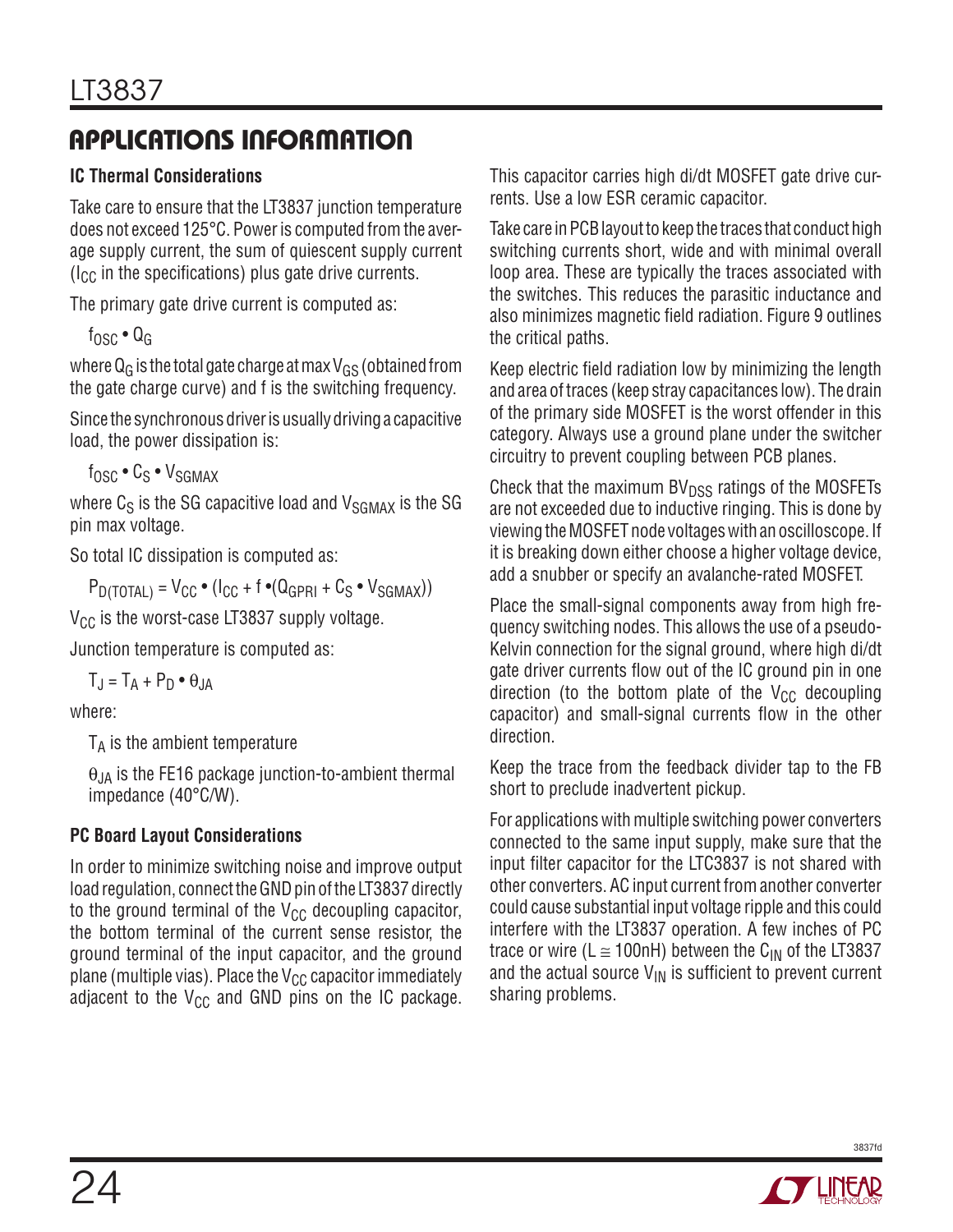### **IC Thermal Considerations**

Take care to ensure that the LT3837 junction temperature does not exceed 125°C. Power is computed from the average supply current, the sum of quiescent supply current  $(I<sub>CC</sub>$  in the specifications) plus gate drive currents.

The primary gate drive current is computed as:

 $f_{\text{OSC}} \cdot Q_G$ 

where  $Q_G$  is the total gate charge at max  $V_{GS}$  (obtained from the gate charge curve) and f is the switching frequency.

Since the synchronous driver is usually driving a capacitive load, the power dissipation is:

 $f_{\text{OSC}} \cdot C_S \cdot V_{\text{SGMAY}}$ 

where  $C_S$  is the SG capacitive load and  $V_{SGMAX}$  is the SG pin max voltage.

So total IC dissipation is computed as:

 $P_{\text{D(TOTAL)}} = V_{\text{CC}} \cdot (I_{\text{CC}} + f \cdot (Q_{\text{GPRI}} + C_{\text{S}} \cdot V_{\text{SGMAX}}))$ 

 $V_{CC}$  is the worst-case LT3837 supply voltage.

Junction temperature is computed as:

 $T_{\rm J} = T_{\rm A} + P_{\rm D} \cdot \theta_{\rm JA}$ 

where:

 $T_A$  is the ambient temperature

 $\theta_{JA}$  is the FE16 package junction-to-ambient thermal impedance (40°C/W).

### **PC Board Layout Considerations**

In order to minimize switching noise and improve output load regulation, connect the GND pin of the LT3837 directly to the ground terminal of the  $V_{CC}$  decoupling capacitor, the bottom terminal of the current sense resistor, the ground terminal of the input capacitor, and the ground plane (multiple vias). Place the  $V_{CC}$  capacitor immediately adjacent to the  $V_{CC}$  and GND pins on the IC package. This capacitor carries high di/dt MOSFET gate drive currents. Use a low ESR ceramic capacitor.

Take care in PCB layout to keep the traces that conduct high switching currents short, wide and with minimal overall loop area. These are typically the traces associated with the switches. This reduces the parasitic inductance and also minimizes magnetic field radiation. Figure 9 outlines the critical paths.

Keep electric field radiation low by minimizing the length and area of traces (keep stray capacitances low). The drain of the primary side MOSFET is the worst offender in this category. Always use a ground plane under the switcher circuitry to prevent coupling between PCB planes.

Check that the maximum  $BV<sub>DSS</sub>$  ratings of the MOSFETs are not exceeded due to inductive ringing. This is done by viewing the MOSFET node voltages with an oscilloscope. If it is breaking down either choose a higher voltage device, add a snubber or specify an avalanche-rated MOSFET.

Place the small-signal components away from high frequency switching nodes. This allows the use of a pseudo-Kelvin connection for the signal ground, where high di/dt gate driver currents flow out of the IC ground pin in one direction (to the bottom plate of the  $V_{CC}$  decoupling capacitor) and small-signal currents flow in the other direction.

Keep the trace from the feedback divider tap to the FB short to preclude inadvertent pickup.

For applications with multiple switching power converters connected to the same input supply, make sure that the input filter capacitor for the LTC3837 is not shared with other converters. AC input current from another converter could cause substantial input voltage ripple and this could interfere with the LT3837 operation. A few inches of PC trace or wire (L  $\approx$  100nH) between the C<sub>IN</sub> of the LT3837 and the actual source  $V_{\text{IN}}$  is sufficient to prevent current sharing problems.

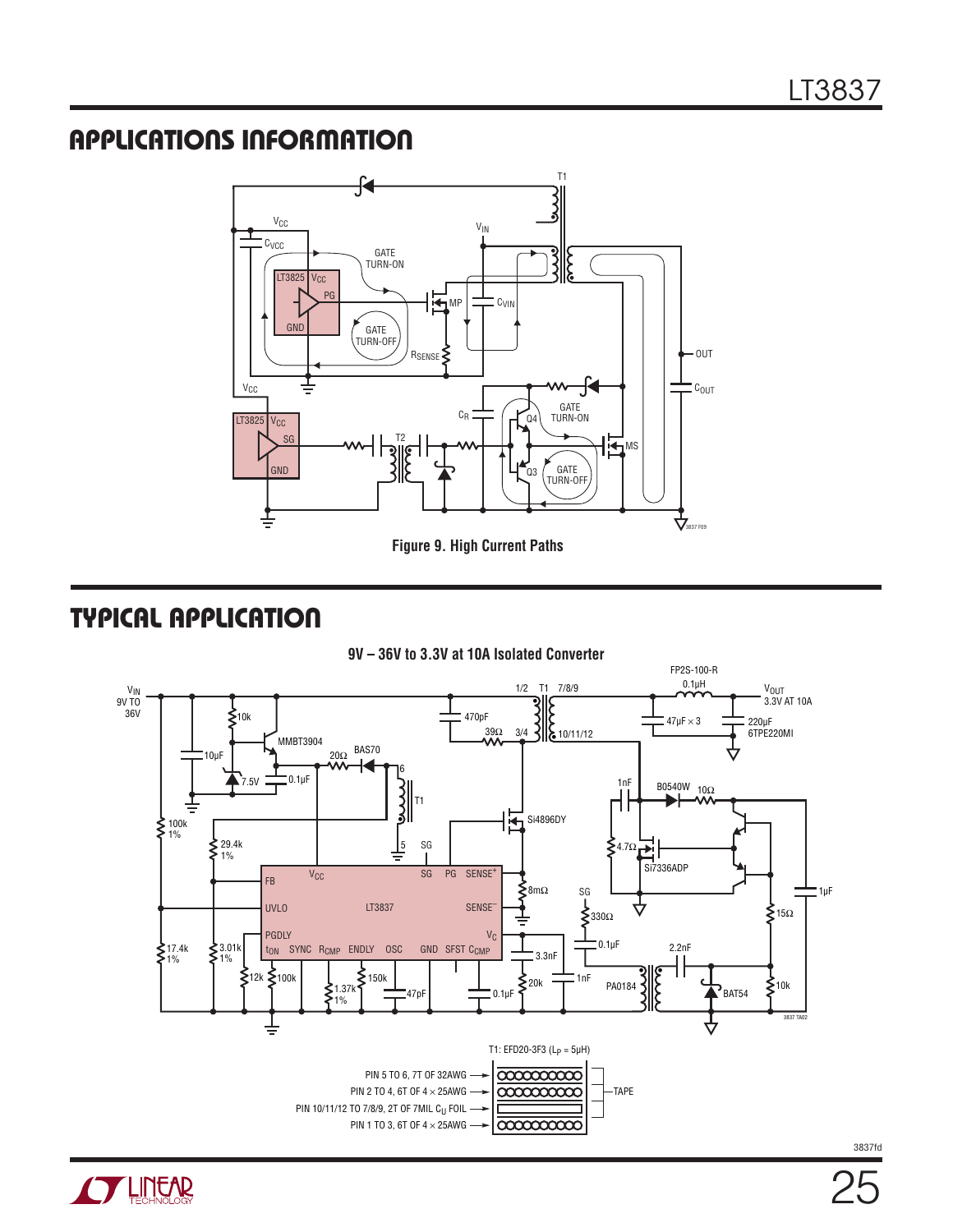

TYPICAL APPLICATION



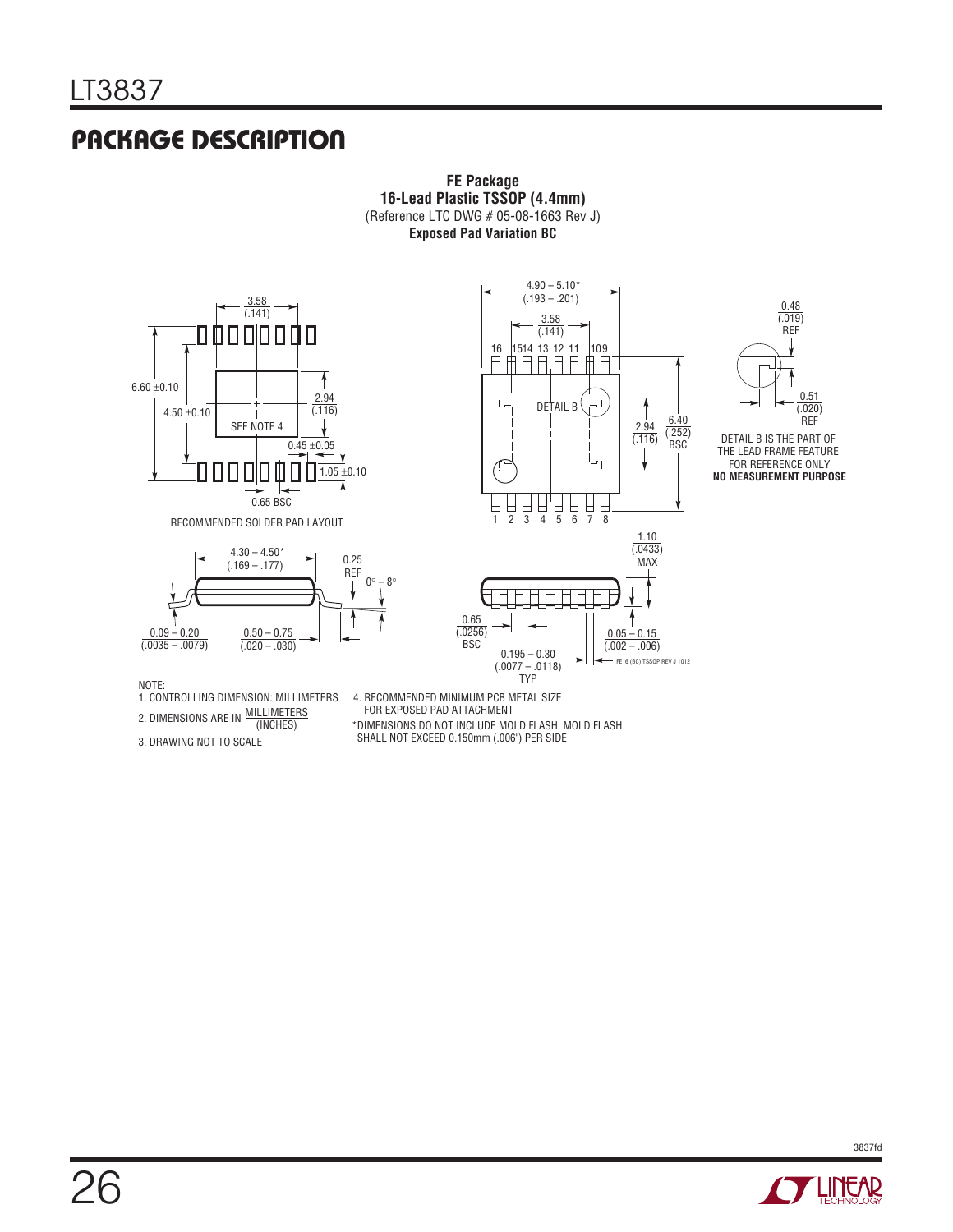# PACKAGE DESCRIPTION

**FE Package 16-Lead Plastic TSSOP (4.4mm)** (Reference LTC DWG # 05-08-1663 Rev J) **Exposed Pad Variation BC**



RECOMMENDED SOLDER PAD LAYOUT





10 9

 $4.90 - 5.10*$ (.193 – .201)

> 3.58  $(141)$

16 1514 13 12 11<br>日日日日日日



DETAIL B IS THE PART OF THE LEAD FRAME FEATURE FOR REFERENCE ONLY **NO MEASUREMENT PURPOSE**

NOTE:

2. DIMENSIONS ARE IN MILLIMETERS

3. DRAWING NOT TO SCALE

1. CONTROLLING DIMENSION: MILLIMETERS 4. RECOMMENDED MINIMUM PCB METAL SIZE FOR EXPOSED PAD ATTACHMENT

(INCHES) \*DIMENSIONS DO NOT INCLUDE MOLD FLASH. MOLD FLASH SHALL NOT EXCEED 0.150mm (.006") PER SIDE

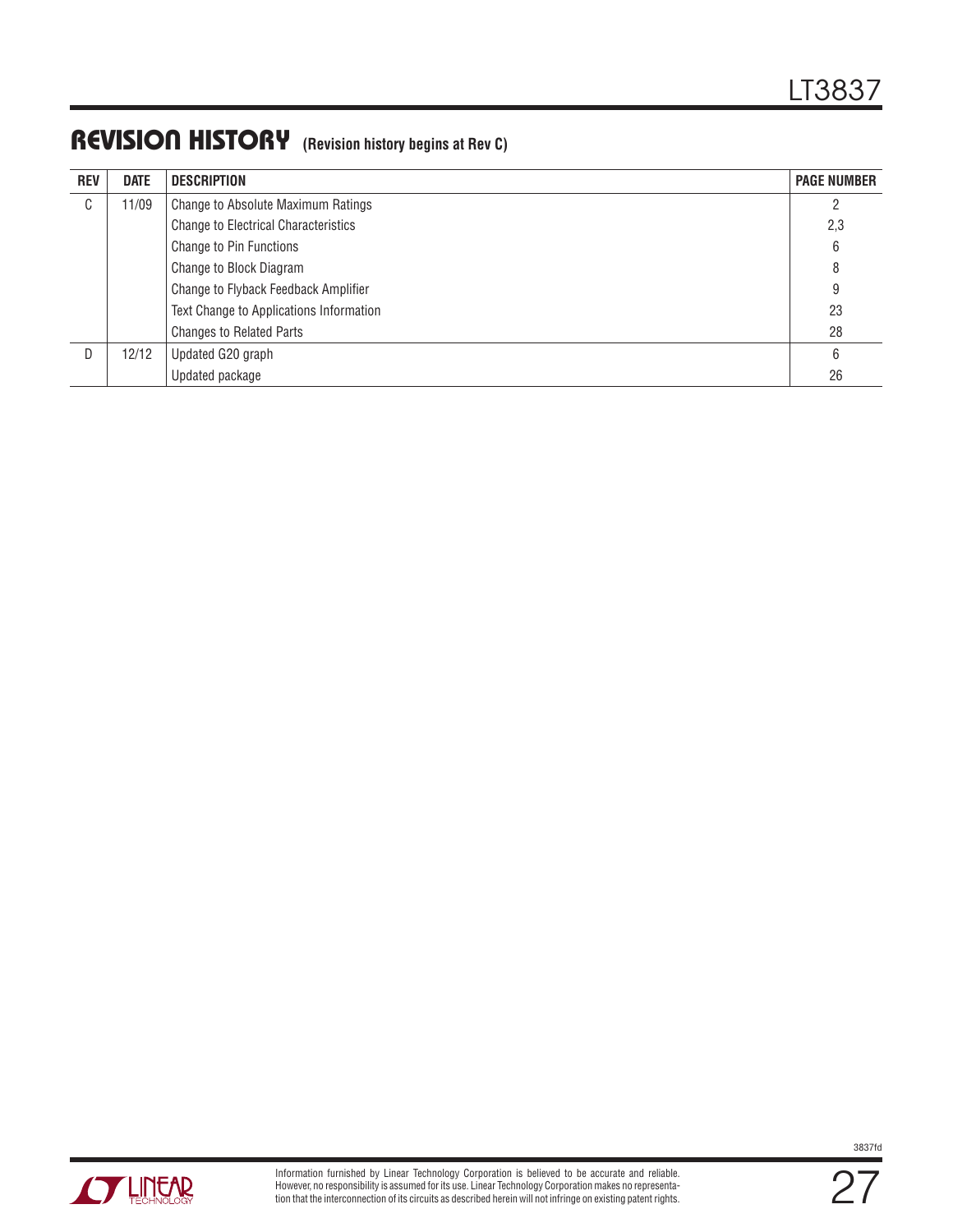### REVISION HISTORY **(Revision history begins at Rev C)**

| <b>REV</b> | <b>DATE</b> | <b>DESCRIPTION</b>                          | <b>PAGE NUMBER</b> |
|------------|-------------|---------------------------------------------|--------------------|
| C          | 11/09       | Change to Absolute Maximum Ratings          | 2                  |
|            |             | <b>Change to Electrical Characteristics</b> | 2,3                |
|            |             | Change to Pin Functions                     | 6                  |
|            |             | Change to Block Diagram                     | 8                  |
|            |             | Change to Flyback Feedback Amplifier        | 9                  |
|            |             | Text Change to Applications Information     | 23                 |
|            |             | <b>Changes to Related Parts</b>             | 28                 |
| D          | 12/12       | Updated G20 graph                           | 6                  |
|            |             | Updated package                             | 26                 |